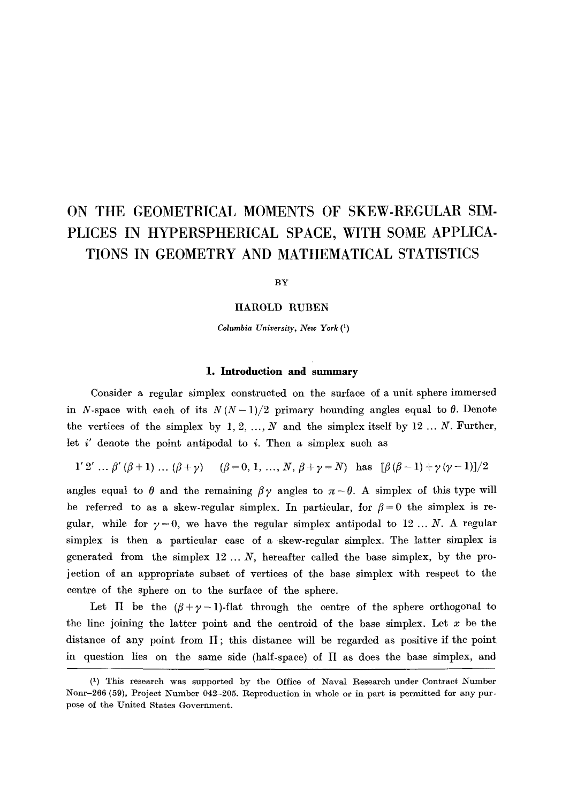# **ON THE GEOMETRICAL MOMENTS OF SKEW-REGULAR SIM-PLICES IN HYPERSPHERICAL SPACE, WITH SOME APPLICA-TIONS IN GEOMETRY AND MATHEMATICAL STATISTICS**

**BY** 

## **HAROLD RUBEN**

*Columbia University, New York* **(1)** 

#### **1. Introduction and summary**

Consider a regular simplex constructed on the surface of a unit sphere immersed in *N*-space with each of its  $N(N-1)/2$  primary bounding angles equal to  $\theta$ . Denote the vertices of the simplex by 1, 2, ..., N and the simplex itself by 12 ... N. Further, let  $i'$  denote the point antipodal to  $i$ . Then a simplex such as

*l'2'...*  $\beta'(\beta+1)$ ... $(\beta+\gamma)$   $(\beta=0, 1, ..., N, \beta+\gamma=N)$  has  $[\beta(\beta-1)+\gamma(\gamma-1)]/2$ 

angles equal to  $\theta$  and the remaining  $\beta \gamma$  angles to  $\pi - \theta$ . A simplex of this type will be referred to as a skew-regular simplex. In particular, for  $\beta = 0$  the simplex is regular, while for  $\gamma = 0$ , we have the regular simplex antipodal to 12 ... N. A regular simplex is then a particular case of a skew-regular simplex. The latter simplex is generated from the simplex  $12...N$ , hereafter called the base simplex, by the projection of an appropriate subset of vertices of the base simplex with respect to the centre of the sphere on to the surface of the sphere.

Let  $\Pi$  be the  $(\beta + \gamma - 1)$ -flat through the centre of the sphere orthogonal to the line joining the latter point and the centroid of the base simplex. Let  $x$  be the distance of any point from  $\Pi$ ; this distance will be regarded as positive if the point in question lies on the same side (half-space) of  $\Pi$  as does the base simplex, and

<sup>(1)</sup> This research was supported by the Office of Naval Research under Contract Number Nonr-266 (59), Project Number 042-205. Reproduction in whole or in part is permitted for any purpose of the United States Government.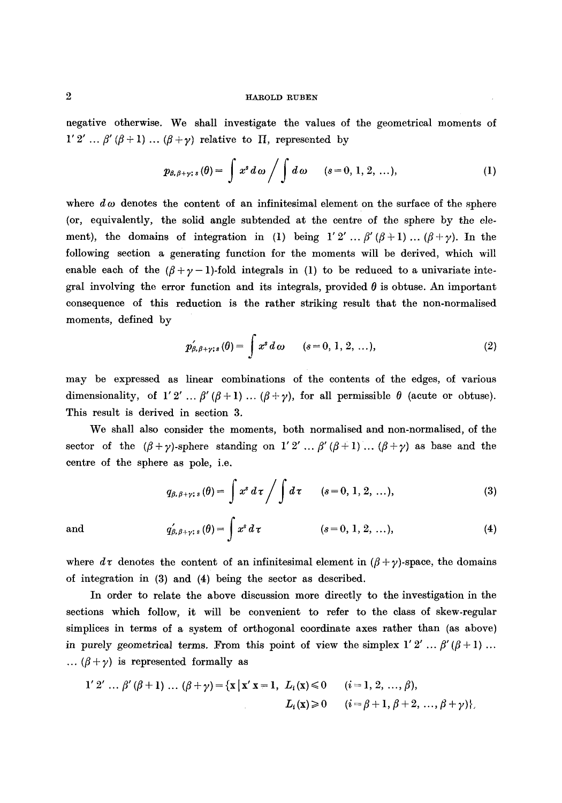negative otherwise. We shall investigate the values of the geometrical moments of  $1'2' ... \beta' (\beta+1)... (\beta+\gamma)$  relative to  $\Pi$ , represented by

$$
p_{\beta,\beta+\gamma;s}(\theta)=\int x^s d\omega \bigg/\int d\omega \qquad (s=0,\,1,\,2,\,\ldots),\qquad \qquad (1)
$$

where  $d\omega$  denotes the content of an infinitesimal element on the surface of the sphere (or, equivalently, the solid angle subtended at the centre of the sphere by the element), the domains of integration in (1) being  $1'2' \dots \beta'(\beta+1)\dots(\beta+\gamma)$ . In the following section a generating function for the moments will be derived, which will enable each of the  $(\beta+\gamma-1)$ -fold integrals in (1) to be reduced to a univariate integral involving the error function and its integrals, provided  $\theta$  is obtuse. An important consequence of this reduction is the rather striking result that the non-normalised moments, defined by

$$
p'_{\beta,\beta+\gamma;s}(\theta) = \int x^s d\omega \qquad (s = 0, 1, 2, ...),
$$
 (2)

may be expressed as linear combinations of the contents of the edges, of various dimensionality, of 1'2' ...  $\beta'(\beta + 1)$  ...  $(\beta + \gamma)$ , for all permissible  $\theta$  (acute or obtuse). This result is derived in section 3.

We shall also consider the moments, both normalised and non-normalised, of the sector of the  $(\beta + \gamma)$ -sphere standing on 1'2' ...  $\beta'(\beta+1)$  ...  $(\beta + \gamma)$  as base and the centre of the sphere as pole, i.e.

$$
q_{\beta,\beta+\gamma;\,s}(\theta) = \int x^s \, d\,\tau \bigg/ \int d\,\tau \qquad (s = 0, 1, 2, \ldots), \qquad (3)
$$

and 
$$
q'_{\beta,\beta+\gamma;\,s}(\theta) = \int x^s d\tau
$$
 \t\t(s=0, 1, 2, ...), \t\t(4)

where  $d\tau$  denotes the content of an infinitesimal element in  $(\beta + \gamma)$ -space, the domains of integration in (3) and (4) being the sector as described.

In order to relate the above discussion more directly to the investigation in the sections which follow, it will be convenient to refer to the class of skew-regular simplices in terms of a system of orthogonal coordinate axes rather than (as above) in purely geometrical terms. From this point of view the simplex  $1' 2' ... \beta' (\beta + 1) ...$ ...  $(\beta + \gamma)$  is represented formally as

1' 2' ... 
$$
\beta'(\beta + 1)
$$
 ...  $(\beta + \gamma) = \{x \mid x' x = 1, L_i(x) \le 0 \quad (i = 1, 2, ..., \beta),$   
\n $L_i(x) \ge 0 \quad (i = \beta + 1, \beta + 2, ..., \beta + \gamma)\}.$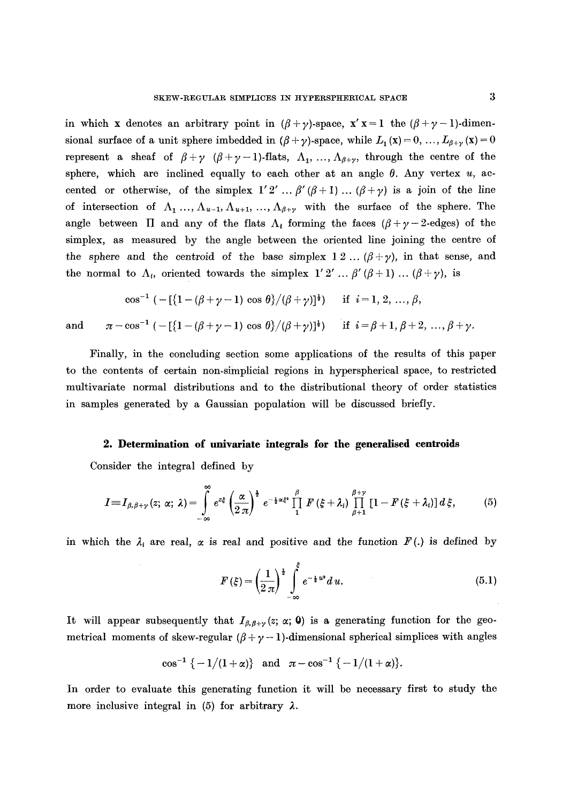in which x denotes an arbitrary point in  $(\beta + \gamma)$ -space,  $x' x = 1$  the  $(\beta + \gamma - 1)$ -dimensional surface of a unit sphere imbedded in  $(\beta + \gamma)$ -space, while  $L_1(x) = 0, \ldots, L_{\beta+\gamma}(x) = 0$ represent a sheaf of  $\beta + \gamma$  ( $\beta + \gamma - 1$ )-flats,  $\Lambda_1, \ldots, \Lambda_{\beta+\gamma}$ , through the centre of the sphere, which are inclined equally to each other at an angle  $\theta$ . Any vertex  $u$ , accented or otherwise, of the simplex  $1'2' \dots \beta'(\beta+1) \dots (\beta+\gamma)$  is a join of the line of intersection of  $\Lambda_1 \ldots, \Lambda_{u-1}, \Lambda_{u+1}, \ldots, \Lambda_{\beta+\gamma}$  with the surface of the sphere. The angle between  $\Pi$  and any of the flats  $\Lambda_i$  forming the faces  $(\beta + \gamma - 2)$ -edges) of the simplex, as measured by the angle between the oriented line joining the centre of the sphere and the centroid of the base simplex  $1\ 2\ \dots\ (\beta + \gamma)$ , in that sense, and the normal to  $\Lambda_i$ , oriented towards the simplex  $1' 2' ... \beta' (\beta + 1) ... (\beta + \gamma)$ , is

$$
\cos^{-1} \left( -\left[ \{1 - (\beta + \gamma - 1) \, \cos \, \theta \} / (\beta + \gamma) \right]^{1 \over 2} \right) \quad \text{if} \quad i = 1, 2, \, \dots, \, \beta,
$$
  
and  

$$
\pi - \cos^{-1} \left( -\left[ \{1 - (\beta + \gamma - 1) \, \cos \, \theta \} / (\beta + \gamma) \right]^{1 \over 2} \right) \quad \text{if} \quad i = \beta + 1, \, \beta + 2, \, \dots, \, \beta + \gamma
$$

Finally, in the concluding section some applications of the results of this paper to the contents of certain non-simplicial regions in hyperspherical space, to restricted multivariate normal distributions and to the distributional theory of order statistics in samples generated by a Gaussian population will be discussed briefly.

#### **2. Determination of univariate integrals for the generalised centroids**

Consider the integral defined by

$$
I\equiv I_{\beta,\beta+\gamma}(z;\,\alpha;\,\lambda)=\int\limits_{-\infty}^{\infty}e^{z\xi}\left(\frac{\alpha}{2\,\pi}\right)^{\frac{1}{2}}e^{-\frac{1}{2}\alpha\xi^2}\prod\limits_{1}^{\beta}F\left(\xi+\lambda_i\right)\prod\limits_{\beta+1}^{\beta+\gamma}\left[1-F\left(\xi+\lambda_i\right)\right]d\,\xi,\tag{5}
$$

in which the  $\lambda_i$  are real,  $\alpha$  is real and positive and the function  $F(.)$  is defined by

$$
F(\xi) = \left(\frac{1}{2\pi}\right)^{\frac{1}{2}} \int_{-\infty}^{\xi} e^{-\frac{1}{2}u^2} du.
$$
 (5.1)

It will appear subsequently that  $I_{\beta,\beta+\gamma}(z; \alpha; 0)$  is a generating function for the geometrical moments of skew-regular  $(\beta + \gamma - 1)$ -dimensional spherical simplices with angles

$$
\cos^{-1}\{-1/(1+\alpha)\}\text{ and }\pi-\cos^{-1}\{-1/(1+\alpha)\}.
$$

In order to evaluate this generating function it will be necessary first to study the more inclusive integral in (5) for arbitrary  $\lambda$ .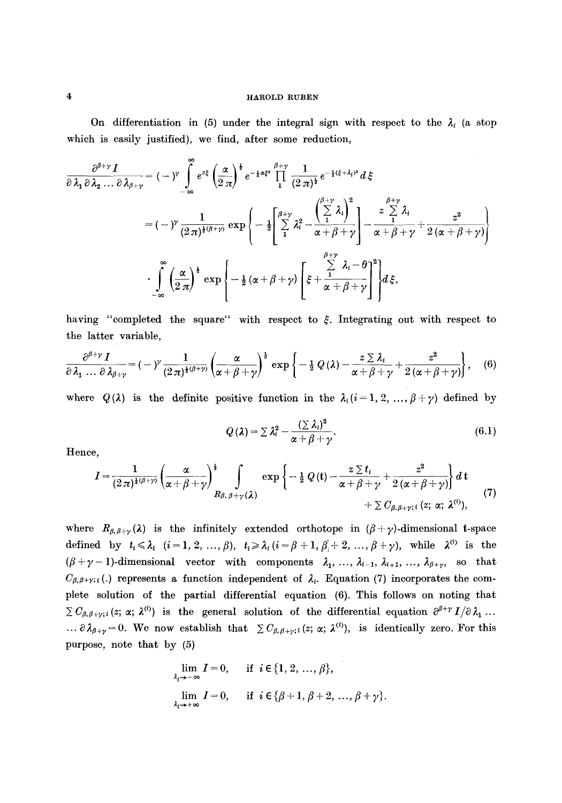On differentiation in (5) under the integral sign with respect to the  $\lambda_i$  (a stop which is easily justified), we find, after some reduction,

$$
\frac{\partial^{\beta+\gamma} I}{\partial \lambda_1 \partial \lambda_2 ... \partial \lambda_{\beta+\gamma}} = (-\gamma) \int_{-\infty}^{\infty} e^{z\xi} \left(\frac{\alpha}{2\pi}\right)^{\frac{1}{2}} e^{-\frac{1}{2}\alpha\xi^2} \prod_{1}^{\beta+\gamma} \frac{1}{(2\pi)^{\frac{1}{2}}} e^{-\frac{1}{2}(\xi+\lambda_i)^2} d\xi
$$

$$
= (-\gamma) \frac{1}{(2\pi)^{\frac{1}{2}(\beta+\gamma)}} \exp\left\{-\frac{1}{2} \left[\sum_{1}^{\beta+\gamma} \lambda_i^2 - \frac{\left(\sum_{1}^{\beta+\gamma} \lambda_i\right)^2}{\alpha+\beta+\gamma} - \frac{z \sum_{1}^{\beta+\gamma}}{\alpha+\beta+\gamma} + \frac{z^2}{2(\alpha+\beta+\gamma)}\right] \right\}
$$

$$
\cdot \int_{-\infty}^{\infty} \left(\frac{\alpha}{2\pi}\right)^{\frac{1}{2}} \exp\left\{-\frac{1}{2}(\alpha+\beta+\gamma) \left[\xi + \frac{\sum_{1}^{\beta+\gamma} \lambda_i - \theta}{\alpha+\beta+\gamma} \right]^2 \right\} d\xi,
$$

having "completed the square" with respect to  $\xi$ . Integrating out with respect to the latter variable,

$$
\frac{\partial^{\beta+\gamma} I}{\partial \lambda_1 \dots \partial \lambda_{\beta+\gamma}} = (-\gamma^{\gamma} \frac{1}{(2\pi)^{\frac{1}{2}(\beta+\gamma)}} \left(\frac{\alpha}{\alpha+\beta+\gamma}\right)^{\frac{1}{2}} \exp\left\{-\frac{1}{2}Q(\lambda) - \frac{z \sum \lambda_i}{\alpha+\beta+\gamma} + \frac{z^2}{2(\alpha+\beta+\gamma)}\right\}, \quad (6)
$$

where  $Q(\lambda)$  is the definite positive function in the  $\lambda_i$  (i=1, 2, ...,  $\beta + \gamma$ ) defined by

$$
Q(\lambda) = \sum \lambda_i^2 - \frac{(\sum \lambda_i)^2}{\alpha + \beta + \gamma}.
$$
 (6.1)

Hence,

$$
I = \frac{1}{(2\pi)^{\frac{1}{2}(\beta+\gamma)}} \left(\frac{\alpha}{\alpha+\beta+\gamma}\right)^{\frac{1}{2}} \int_{R_{\beta,\beta+\gamma}(\lambda)} \exp\left\{-\frac{1}{2}Q(t) - \frac{z\sum t_i}{\alpha+\beta+\gamma} + \frac{z^2}{2(\alpha+\beta+\gamma)}\right\} dt + \sum C_{\beta,\beta+\gamma;\,i} (z;\,\alpha;\,\lambda^{(i)}), \tag{7}
$$

where  $R_{\beta,\beta+\gamma}(\lambda)$  is the infinitely extended orthotope in  $(\beta+\gamma)$ -dimensional t-space defined by  $t_i \leq \lambda_i$   $(i=1,2, ..., \beta)$ ,  $t_i \geq \lambda_i$   $(i=\beta+1, \beta_i+2, ..., \beta+\gamma)$ , while  $\lambda^{(i)}$  is the  $(\beta+\gamma-1)$ -dimensional vector with components  $\lambda_1, \ldots, \lambda_{i-1}, \lambda_{i+1}, \ldots, \lambda_{\beta+\gamma}$ , so that  $C_{\beta,\beta+\gamma+i}$ . **Cg,** $\beta+\gamma+i$ . **Cg,** $\beta+\gamma+i$ . **Cg,**  $\beta+\gamma+i$ . **Cg,**  $\beta+\gamma+i$ . **Cg,**  $\beta+\gamma+i$ . **Cg** plete solution of the partial differential equation (6). This follows on noting that  $\sum C_{\beta,\beta+\gamma;i} (z; \alpha; \lambda^{(i)})$  is the general solution of the differential equation  $\partial^{\beta+\gamma} I/\partial \lambda_1 ...$ ...  $\partial \lambda_{\beta+\gamma}=0$ . We now establish that  $\sum C_{\beta,\beta+\gamma;i}(z;\alpha;\lambda^{(i)})$ , is identically zero. For this purpose, note that by (5)

$$
\lim_{\lambda_i \to -\infty} I = 0, \quad \text{if } i \in \{1, 2, ..., \beta\},
$$
  

$$
\lim_{\lambda_i \to +\infty} I = 0, \quad \text{if } i \in \{\beta+1, \beta+2, ..., \beta+\gamma\}
$$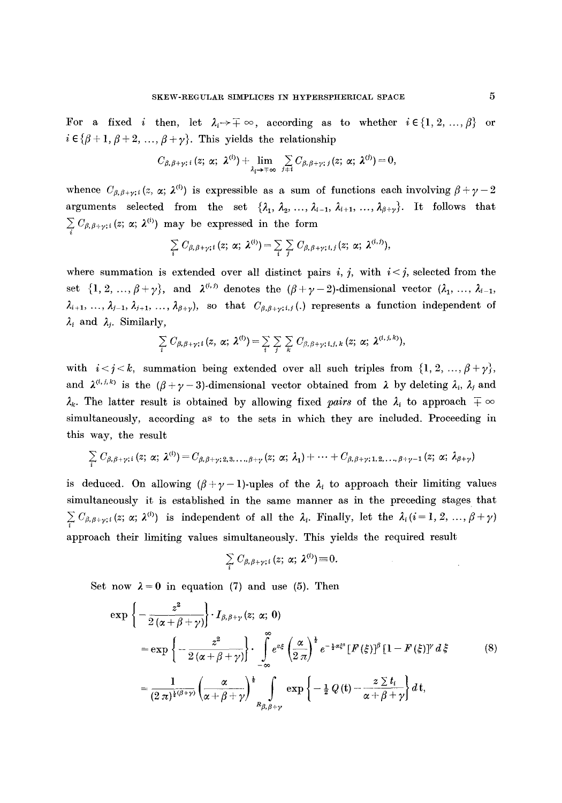For a fixed i then, let  $\lambda_i \rightarrow \mp \infty$ , according as to whether  $i \in \{1, 2, ..., \beta\}$  or  $i \in {\beta + 1, \beta + 2, ..., \beta + \gamma}$ . This yields the relationship

$$
C_{\beta,\beta+\gamma\,;\,i}\,(z;\,\alpha;\,\lambda^{(i)})+\lim_{\lambda_i\to\mp\infty}\,\sum_{j\neq i}C_{\beta,\,\beta+\gamma;\,j}(z;\,\alpha;\,\lambda^{(j)})=0,
$$

whence  $C_{\beta,\beta+\gamma;i} (z, \alpha; \lambda^{(i)})$  is expressible as a sum of functions each involving  $\beta+\gamma-2$ arguments selected from the set  $\{\lambda_1, \lambda_2, ..., \lambda_{i-1}, \lambda_{i+1}, ..., \lambda_{\beta+\gamma}\}$ . It follows that  $\sum_i C_{\beta,\beta+\gamma;i}(z;\,\alpha;\,\lambda^{(i)})$  may be expressed in the form

$$
\sum_i C_{\beta,\beta+\gamma;i}(z;\,\alpha;\,\lambda^{(i)}) = \sum_i \sum_j C_{\beta,\beta+\gamma;i,j}(z;\,\alpha;\,\lambda^{(i,j)}),
$$

where summation is extended over all distinct pairs i, j, with  $i < j$ , selected from the set  $\{1, 2, ..., \beta + \gamma\}$ , and  $\lambda^{(i,j)}$  denotes the  $(\beta + \gamma - 2)$ -dimensional vector  $(\lambda_1, ..., \lambda_{i-1},$  $\lambda_{i+1}, \ldots, \lambda_{j-1}, \lambda_{j+1}, \ldots, \lambda_{\beta+y}$ , so that  $C_{\beta,\beta+y;i,j}$ . represents a function independent of  $\lambda_i$  and  $\lambda_j$ . Similarly,

$$
\sum_i C_{\beta,\beta+\gamma;i}(z,\alpha;\lambda^{(t)}) = \sum_i \sum_j \sum_k C_{\beta,\beta+\gamma;i,j,k}(z;\alpha;\lambda^{(i,j,k)}),
$$

with  $i < j < k$ , summation being extended over all such triples from  $\{1, 2, ..., \beta + \gamma\}$ , and  $\lambda^{(i,j,k)}$  is the  $(\beta+\gamma-3)$ -dimensional vector obtained from  $\lambda$  by deleting  $\lambda_i$ ,  $\lambda_j$  and  $\lambda_k$ . The latter result is obtained by allowing fixed *pairs* of the  $\lambda_i$  to approach  $\mp \infty$ simultaneously, according as to the sets in which they are included. Proceeding in this way, the result

$$
\sum_i C_{\beta,\beta+\gamma;i}(z;\,\alpha;\,\lambda^{(i)}) = C_{\beta,\beta+\gamma;2,3,\ldots,\beta+\gamma}(z;\,\alpha;\,\lambda_1)+\cdots+C_{\beta,\beta+\gamma;1,2,\ldots,\beta+\gamma-1}(z;\,\alpha;\,\lambda_{\beta+\gamma})
$$

is deduced. On allowing  $(\beta+\gamma-1)$ -uples of the  $\lambda_i$  to approach their limiting values simultaneously it is established in the same manner as in the preceding stages that  $\sum_i C_{\beta,\beta+\gamma;i}(z;\,\alpha;\,\lambda^{(i)})$  is independent of all the  $\lambda_i$ . Finally, let the  $\lambda_i(i=1,\,2,\,\ldots,\beta+\gamma)$ approach their limiting values simultaneously. This yields the required result

$$
\sum_i C_{\beta,\beta+\gamma;i}(z;\,\alpha;\,\lambda^{(i)})\equiv 0.
$$

Set now  $\lambda = 0$  in equation (7) and use (5). Then

$$
\exp\left\{-\frac{z^2}{2\left(\alpha+\beta+\gamma\right)}\right\}\cdot I_{\beta,\beta+\gamma}\left(z;\ \alpha;\ 0\right)
$$
\n
$$
=\exp\left\{-\frac{z^2}{2\left(\alpha+\beta+\gamma\right)}\right\}\cdot\int_{-\infty}^{\infty}e^{z\xi}\left(\frac{\alpha}{2\pi}\right)^{\frac{1}{2}}e^{-\frac{1}{2}\alpha\xi^2}\left[F'(\xi)\right]^\beta\left[1-F'(\xi)\right]^\gamma d\xi\tag{8}
$$
\n
$$
=\frac{1}{(2\pi)^{\frac{1}{2}\left(\beta+\gamma\right)}}\left(\frac{\alpha}{\alpha+\beta+\gamma}\right)^{\frac{1}{2}}\int_{R_{\beta,\beta+\gamma}}\exp\left\{-\frac{1}{2}Q\left(t\right)-\frac{z\sum t_i}{\alpha+\beta+\gamma}\right\}d\,t,
$$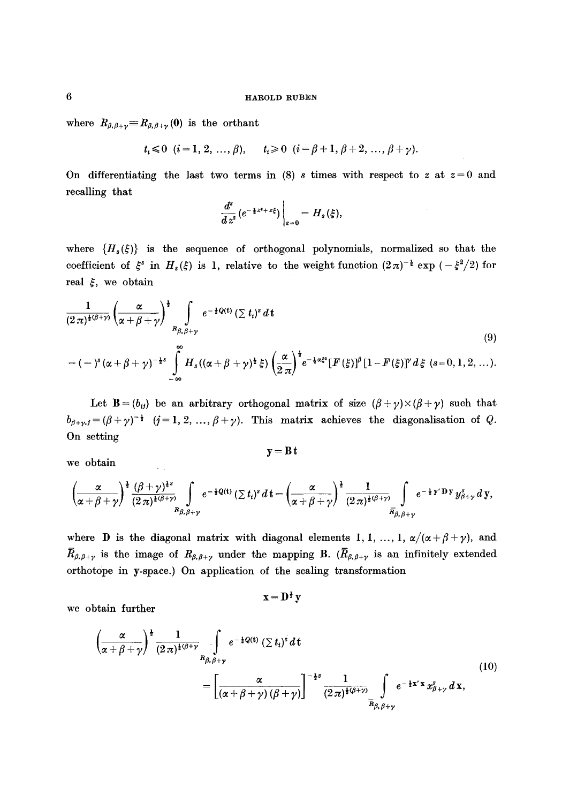where  $R_{\beta,\beta+\gamma} \equiv R_{\beta,\beta+\gamma}(0)$  is the orthant

 $t_i \leq 0$   $(i=1, 2, ..., \beta),$   $t_i \geq 0$   $(i=\beta+1, \beta+2, ..., \beta+\gamma).$ 

On differentiating the last two terms in (8) s times with respect to z at  $z=0$  and recalling that

$$
\left.\frac{d^s}{d\,z^s}\,(e^{-\frac{1}{2}z^i+z\xi})\,\right|_{z=0}=H_s(\xi),
$$

where  ${H_s(\xi)}$  is the sequence of orthogonal polynomials, normalized so that the coefficient of  $\xi^s$  in  $H_s(\xi)$  is 1, relative to the weight function  $(2\pi)^{-\frac{1}{2}} \exp(-\xi^2/2)$  for real  $\xi$ , we obtain

$$
\frac{1}{(2\pi)^{\frac{1}{2}(\beta+\gamma)}}\left(\frac{\alpha}{\alpha+\beta+\gamma}\right)^{\frac{1}{2}}\int\limits_{B_{\beta,\beta+\gamma}}e^{-\frac{1}{2}Q(t)}\left(\sum t_{i}\right)^{s}d\,t\tag{9}
$$

$$
= (-)^{s} (\alpha + \beta + \gamma)^{-\frac{1}{2}s} \int_{-\infty}^{\infty} H_s((\alpha + \beta + \gamma)^{\frac{1}{2}} \xi) \left(\frac{\alpha}{2\pi}\right)^{\frac{1}{2}} e^{-\frac{1}{4}\alpha\xi^{2}} [F(\xi)]^{\beta} [1 - F(\xi)]^{\gamma} d\xi \quad (s = 0, 1, 2, ...).
$$

Let  $\mathbf{B} = (b_{ij})$  be an arbitrary orthogonal matrix of size  $(\beta + \gamma) \times (\beta + \gamma)$  such that  $b_{\beta+\gamma,j}=(\beta+\gamma)^{-\frac{1}{2}}$  (j=1, 2, ...,  $\beta+\gamma$ ). This matrix achieves the diagonalisation of Q. On setting

we obtain

 $\hat{\mathcal{L}}_{\text{eff}}$ 

$$
\mathbf{y} = \mathbf{B} \, \mathbf{t}
$$

$$
\left(\frac{\alpha}{\alpha+\beta+\gamma}\right)^{\frac{1}{2}}\frac{(\beta+\gamma)^{\frac{1}{2}s}}{(2\pi)^{\frac{1}{2}(\beta+\gamma)}}\int\limits_{R_{\beta,\beta+\gamma}}e^{-\frac{1}{2}Q(t)}\left(\sum t_i\right)^s\,dt=\left(\frac{\alpha}{\alpha+\beta+\gamma}\right)^{\frac{1}{2}}\frac{1}{(2\pi)^{\frac{1}{2}(\beta+\gamma)}}\int\limits_{\overline{R}_{\beta,\beta+\gamma}}e^{-\frac{1}{2}y'}\mathbf{D}y\,y^s_{\beta+\gamma}\,dy,
$$

where **D** is the diagonal matrix with diagonal elements 1, 1, ..., 1,  $\alpha/(\alpha+\beta+\gamma)$ , and  $\bar{R}_{\beta,\beta+\gamma}$  is the image of  $R_{\beta,\beta+\gamma}$  under the mapping B. ( $\bar{R}_{\beta,\beta+\gamma}$  is an infinitely extended orthot0pe in y-space.) On application of the scaling transformation

$$
x=D^{\frac{1}{2}}y
$$

we obtain further

$$
\left(\frac{\alpha}{\alpha+\beta+\gamma}\right)^{\frac{1}{2}}\frac{1}{(2\pi)^{\frac{1}{2}(\beta+\gamma)}}\int\limits_{R_{\beta,\beta+\gamma}}e^{-\frac{1}{2}Q(t)}\left(\sum t_{i}\right)^{s}dt
$$
\n
$$
=\left[\frac{\alpha}{\left(\alpha+\beta+\gamma\right)(\beta+\gamma)}\right]^{-\frac{1}{2}s}\frac{1}{(2\pi)^{\frac{1}{2}(\beta+\gamma)}}\int\limits_{\overline{R}_{\beta,\beta+\gamma}}e^{-\frac{1}{2}x^{2}}x_{\beta+\gamma}^{s}dx,
$$
\n(10)

 $\bf{6}$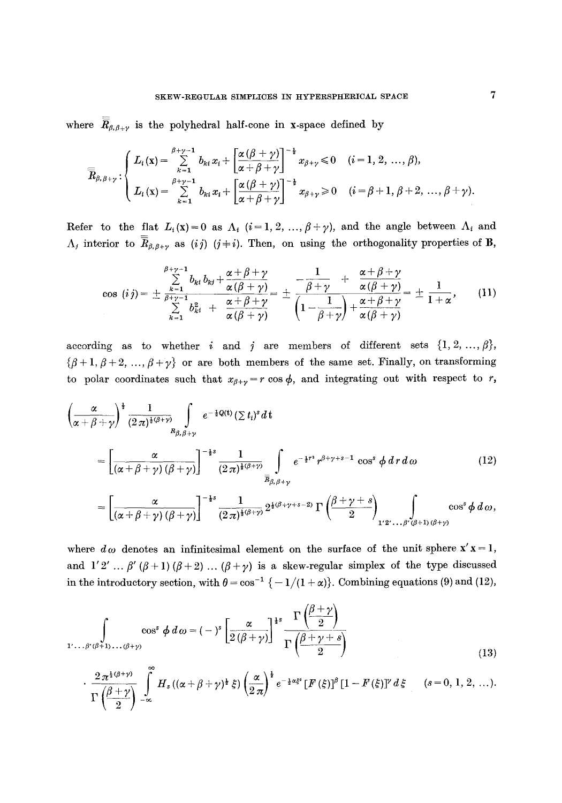where  $\overline{\overline{R}}_{\beta,\beta+\gamma}$  is the polyhedral half-cone in x-space defined by

$$
\overline{\overline{R}}_{\beta,\beta+\gamma}:\begin{cases}L_i(x)=\sum\limits_{k=1}^{\beta+\gamma-1}b_{ki}x_i+\left[\frac{\alpha(\beta+\gamma)}{\alpha+\beta+\gamma}\right]^{-\frac{1}{2}}x_{\beta+\gamma}\leqslant 0 & (i=1,2,\ldots,\beta),\\L_i(x)=\sum\limits_{k=1}^{\beta+\gamma-1}b_{ki}x_i+\left[\frac{\alpha(\beta+\gamma)}{\alpha+\beta+\gamma}\right]^{-\frac{1}{2}}x_{\beta+\gamma}\geqslant 0 & (i=\beta+1,\beta+2,\ldots,\beta+\gamma).\end{cases}
$$

Refer to the flat  $L_i(x)=0$  as  $\Lambda_i$   $(i=1,2, ..., \beta+\gamma)$ , and the angle between  $\Lambda_i$  and  $\Lambda_j$  interior to  $\overline{R}_{\beta,\beta+\gamma}$  as (i) (j + i). Then, on using the orthogonality properties of B,

$$
\cos(ij) = \pm \frac{\sum\limits_{k=1}^{\beta+\gamma-1} b_{ki} b_{kj} + \frac{\alpha+\beta+\gamma}{\alpha(\beta+\gamma)}}{\sum\limits_{k=1}^{\gamma} b_{ki}^2 + \frac{\alpha+\beta+\gamma}{\alpha(\beta+\gamma)}} = \pm \frac{-\frac{1}{\beta+\gamma} + \frac{\alpha+\beta+\gamma}{\alpha(\beta+\gamma)}}{\left(1 - \frac{1}{\beta+\gamma}\right) + \frac{\alpha+\beta+\gamma}{\alpha(\beta+\gamma)}} = \pm \frac{1}{1+\alpha},\qquad(11)
$$

according as to whether i and j are members of different sets  $\{1, 2, ..., \beta\}$ ,  $\{\beta+1, \beta+2, ..., \beta+\gamma\}$  or are both members of the same set. Finally, on transforming to polar coordinates such that  $x_{\beta+\gamma}=r \cos \phi$ , and integrating out with respect to r,

$$
\left(\frac{\alpha}{\alpha+\beta+\gamma}\right)^{\frac{1}{2}}\frac{1}{(2\pi)^{\frac{1}{2}(\beta+\gamma)}}\int_{R_{\beta,\beta+\gamma}}e^{-\frac{1}{2}Q(t)}\left(\sum t_{i}\right)^{s}dt
$$
\n
$$
=\left[\frac{\alpha}{\left(\alpha+\beta+\gamma\right)(\beta+\gamma)}\right]^{-\frac{1}{2}s}\frac{1}{(2\pi)^{\frac{1}{2}(\beta+\gamma)}}\int_{\overline{R}_{\beta,\beta+\gamma}}e^{-\frac{1}{2}r^{2}}r^{\beta+\gamma+s-1}\cos^{s}\phi\,dr\,d\omega\qquad(12)
$$
\n
$$
=\left[\frac{\alpha}{\left(\alpha+\beta+\gamma\right)(\beta+\gamma)}\right]^{-\frac{1}{2}s}\frac{1}{(2\pi)^{\frac{1}{2}(\beta+\gamma)}}2^{\frac{1}{2}(\beta+\gamma+s-2)}\,\Gamma\left(\frac{\beta+\gamma+s}{2}\right)_{1'2'\ldots\beta'(\beta+1)(\beta+\gamma)}\cos^{s}\phi\,d\omega,
$$

where  $d\omega$  denotes an infinitesimal element on the surface of the unit sphere  $x' x = 1$ , and  $1'2' ... \beta'(\beta+1)(\beta+2)...(\beta+\gamma)$  is a skew-regular simplex of the type discussed in the introductory section, with  $\theta = \cos^{-1} \{-1/(1+\alpha)\}\)$ . Combining equations (9) and (12),

$$
\int_{1' \ldots \beta'(\beta+1) \ldots(\beta+\gamma)} \cos^s \phi \, d\omega = (-)^s \left[ \frac{\alpha}{2(\beta+\gamma)} \right]^{1s} \frac{\Gamma\left(\frac{\beta+\gamma}{2}\right)}{\Gamma\left(\frac{\beta+\gamma+s}{2}\right)} \tag{13}
$$

$$
\cdot \frac{2\pi^{\frac{1}{2}(\beta+\gamma)}}{\Gamma(\frac{\beta+\gamma}{2})}\int\limits_{-\infty}^{\infty}H_s\left((\alpha+\beta+\gamma)^{\frac{1}{2}}\xi\right)\left(\frac{\alpha}{2\pi}\right)^{\frac{1}{2}}e^{-\frac{1}{2}\alpha\xi^2}\left[F\left(\xi\right)\right]^\beta\left[1-F\left(\xi\right)\right]^\gamma d\xi \qquad (s=0, 1, 2, \ldots).
$$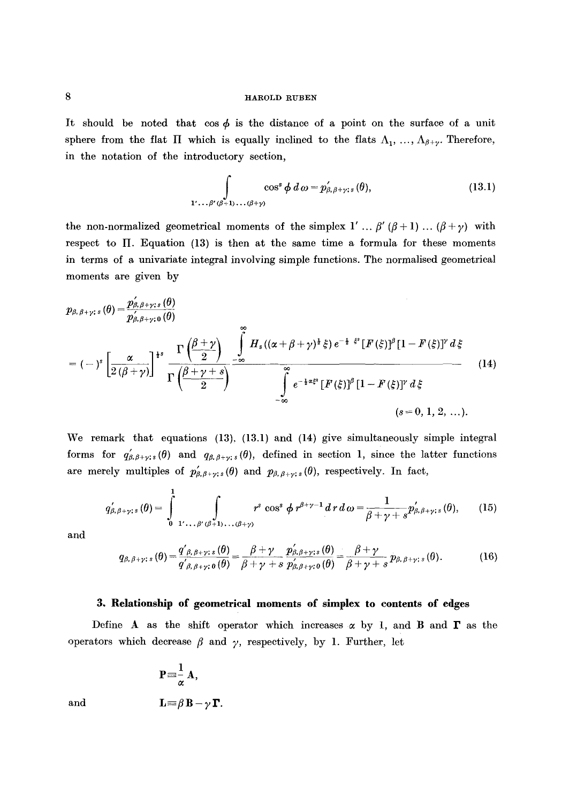It should be noted that  $\cos \phi$  is the distance of a point on the surface of a unit sphere from the flat  $\Pi$  which is equally inclined to the flats  $\Lambda_1, \ldots, \Lambda_{\beta+\gamma}$ . Therefore, in the notation of the introductory section,

$$
\int\limits_{1'\ldots\beta'(\beta+1)\ldots(\beta+\gamma)}\cos^s\phi\,d\,\omega=p'_{\beta,\beta+\gamma;s}(\theta),\tag{13.1}
$$

the non-normalized geometrical moments of the simplex  $1' \dots \beta' (\beta + 1) \dots (\beta + \gamma)$  with respect to  $\Pi$ . Equation (13) is then at the same time a formula for these moments in terms of a univariate integral involving simple functions. The normalised geometrical moments are given by

$$
p_{\beta,\beta+\gamma;s}(\theta) = \frac{p'_{\beta,\beta+\gamma;s}(\theta)}{p'_{\beta,\beta+\gamma;s}(\theta)}
$$
  
=  $(-)^{s} \left[\frac{\alpha}{2(\beta+\gamma)}\right]^{s} \frac{\Gamma\left(\frac{\beta+\gamma}{2}\right)}{\Gamma\left(\frac{\beta+\gamma+s}{2}\right)} \frac{\int\limits_{-\infty}^{\infty} H_{s}((\alpha+\beta+\gamma)^{\frac{s}{2}}\xi) e^{-\frac{1}{2} \xi^{s}} [F(\xi)]^{\beta} [1-F(\xi)]^{\gamma} d\xi}{\int\limits_{-\infty}^{\infty} e^{-\frac{1}{2} \alpha \xi^{s}} [F(\xi)]^{\beta} [1-F(\xi)]^{\gamma} d\xi}$  (14)

We remark that equations (13), (13.1) and (14) give simultaneously simple integral forms for  $q'_{\beta,\beta+\gamma;s}(\theta)$  and  $q_{\beta,\beta+\gamma;s}(\theta)$ , defined in section 1, since the latter functions are merely multiples of  $p'_{\beta,\beta+\gamma;s}(\theta)$  and  $p_{\beta,\beta+\gamma;s}(\theta)$ , respectively. In fact,

$$
q'_{\beta,\beta+\gamma;s}(\theta)=\int\limits_{0}^{1}\int\limits_{1'\ldots\beta'(\beta+1)\ldots(\beta+\gamma)}r^{s}\cos^{s}\phi\,r^{\beta+\gamma-1}\,dr\,d\,\omega=\frac{1}{\beta+\gamma+s}p'_{\beta,\beta+\gamma;s}(\theta),\qquad(15)
$$

and

$$
q_{\beta,\beta+\gamma;s}(\theta) = \frac{q'_{\beta,\beta+\gamma;s}(\theta)}{q'_{\beta,\beta+\gamma;\theta}(\theta)} = \frac{\beta+\gamma}{\beta+\gamma+s}\frac{p'_{\beta,\beta+\gamma;s}(\theta)}{p'_{\beta,\beta+\gamma;\theta}(\theta)} = \frac{\beta+\gamma}{\beta+\gamma+s}p_{\beta,\beta+\gamma;s}(\theta). \hspace{1cm} (16)
$$

## **3. Relationship of geometrical moments of simplex to contents of edges**

Define A as the shift operator which increases  $\alpha$  by 1, and B and  $\Gamma$  as the operators which decrease  $\beta$  and  $\gamma$ , respectively, by 1. Further, let

$$
P\!\equiv\!\frac{1}{\alpha}A,
$$

and 
$$
\mathbf{L} \equiv \beta \mathbf{B} - \gamma \mathbf{\Gamma}.
$$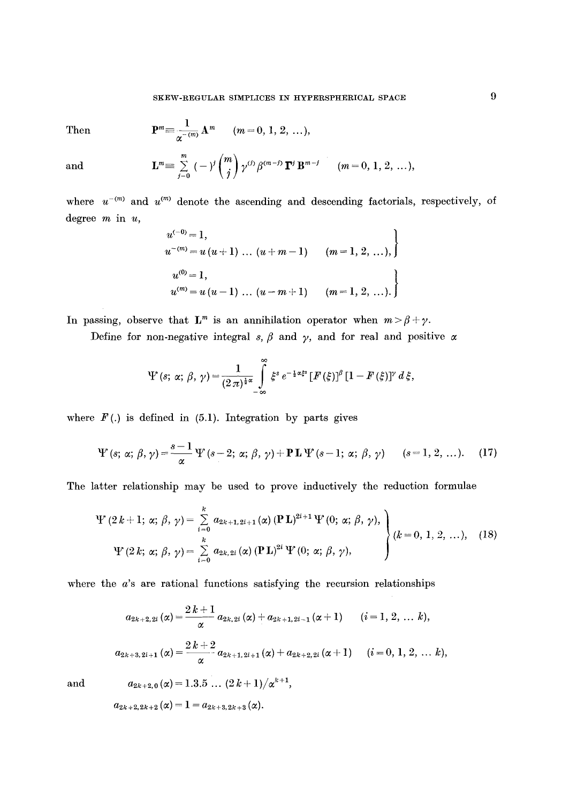Then 
$$
\mathbf{P}^m = \frac{1}{\alpha^{-(m)}} \mathbf{A}^m \qquad (m = 0, 1, 2, ...),
$$

and

$$
\mathbf{L}^m \equiv \sum_{j=0}^m \; (-j^j \binom{m}{j} \, \gamma^{(j)} \, \beta^{(m-j)} \, \mathbf{\Gamma}^j \, \mathbf{B}^{m-j} \qquad (m=0,\,1,\,2,\,\ldots),
$$

where  $u^{-(m)}$  and  $u^{(m)}$  denote the ascending and descending factorials, respectively, of degree  $m$  in  $u$ ,

$$
u^{(-0)} = 1,
$$
  
\n
$$
u^{-(m)} = u (u + 1) \dots (u + m - 1) \qquad (m = 1, 2, \dots),
$$
  
\n
$$
u^{(0)} = 1,
$$
  
\n
$$
u^{(m)} = u (u - 1) \dots (u - m + 1) \qquad (m = 1, 2, \dots).
$$

In passing, observe that  $\mathbf{L}^m$  is an annihilation operator when  $m > \beta + \gamma$ .

Define for non-negative integral s,  $\beta$  and  $\gamma$ , and for real and positive  $\alpha$ 

$$
\Psi(s; \, \alpha; \, \beta, \, \gamma) = \frac{1}{(2\,\pi)^{\frac{1}{2}\alpha}} \int\limits_{-\infty}^{\infty} \xi^s \, e^{-\frac{1}{2}\alpha\xi^s} \, [F(\xi)]^{\beta} \, [1 - F(\xi)]^{\gamma} \, d\xi,
$$

where  $F(.)$  is defined in (5.1). Integration by parts gives

$$
\Psi(s; \alpha; \beta, \gamma) = \frac{s-1}{\alpha} \Psi(s-2; \alpha; \beta, \gamma) + \mathbf{P L } \Psi(s-1; \alpha; \beta, \gamma) \qquad (s=1, 2, \ldots). \tag{17}
$$

The latter relationship may be used to prove inductively the reduction formulae

$$
\Psi (2 k + 1; \alpha; \beta, \gamma) = \sum_{i=0}^{k} a_{2k+1,2i+1}(\alpha) (\mathbf{P} \mathbf{L})^{2i+1} \Psi (0; \alpha; \beta, \gamma),
$$
  

$$
\Psi (2 k; \alpha; \beta, \gamma) = \sum_{i=0}^{k} a_{2k,2i}(\alpha) (\mathbf{P} \mathbf{L})^{2i} \Psi (0; \alpha; \beta, \gamma),
$$
 (18)

where the  $a$ 's are rational functions satisfying the recursion relationships

$$
\begin{aligned} a_{2k+2,2i}\left(\alpha\right) = & \frac{2\,k+1}{\alpha}\,a_{2k,2i}\left(\alpha\right) + a_{2k+1,2i-1}\left(\alpha+1\right) \qquad (i=1,\,2,\,\ldots\,k),\\ a_{2k+3,2i+1}\left(\alpha\right) = & \frac{2\,k+2}{\alpha}\,a_{2k+1,2i+1}\left(\alpha\right) + a_{2k+2,2i}\left(\alpha+1\right) \qquad (i=0,\,1,\,2,\,\ldots\,k), \end{aligned}
$$

and

$$
a_{2k+2,0}(\alpha) = 1.3.5 \dots (2 k + 1) / \alpha^{k+1},
$$
  

$$
a_{2k+2,2k+2}(\alpha) = 1 = a_{2k+3,2k+3}(\alpha).
$$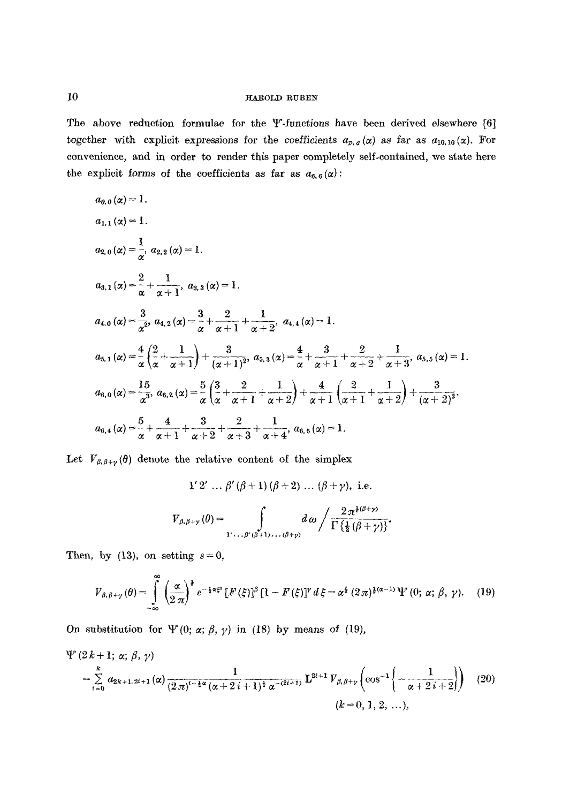The above reduction formulae for the  $\Psi$ -functions have been derived elsewhere [6] together with explicit expressions for the coefficients  $a_{p,q}(\alpha)$  as far as  $a_{10,10}(\alpha)$ . For convenience, and in order to render this paper completely self-contained, we state here the explicit forms of the coefficients as far as  $a_{6, 6}(\alpha)$ :

$$
a_{0,0}(x) = 1.
$$
  
\n
$$
a_{1,1}(x) = 1.
$$
  
\n
$$
a_{2,0}(x) = \frac{1}{\alpha}, a_{2,2}(x) = 1.
$$
  
\n
$$
a_{3,1}(x) = \frac{2}{\alpha} + \frac{1}{\alpha + 1}, a_{3,3}(x) = 1.
$$
  
\n
$$
a_{4,0}(x) = \frac{3}{\alpha^2}, a_{4,2}(x) = \frac{3}{\alpha} + \frac{2}{\alpha + 1} + \frac{1}{\alpha + 2}, a_{4,4}(x) = 1.
$$
  
\n
$$
a_{5,1}(x) = \frac{4}{\alpha} \left(\frac{2}{\alpha} + \frac{1}{\alpha + 1}\right) + \frac{3}{(\alpha + 1)^2}, a_{5,3}(x) = \frac{4}{\alpha} + \frac{3}{\alpha + 1} + \frac{2}{\alpha + 2} + \frac{1}{\alpha + 3}, a_{5,5}(x) = 1.
$$
  
\n
$$
a_{6,0}(x) = \frac{15}{\alpha^3}, a_{6,2}(x) = \frac{5}{\alpha} \left(\frac{3}{\alpha} + \frac{2}{\alpha + 1} + \frac{1}{\alpha + 2}\right) + \frac{4}{\alpha + 1} \left(\frac{2}{\alpha + 1} + \frac{1}{\alpha + 2}\right) + \frac{3}{(\alpha + 2)^2}.
$$
  
\n
$$
a_{6,4}(x) = \frac{5}{\alpha} + \frac{4}{\alpha + 1} + \frac{3}{\alpha + 2} + \frac{2}{\alpha + 3} + \frac{1}{\alpha + 4}, a_{6,6}(x) = 1.
$$

Let  $V_{\beta,\beta+\gamma}(\theta)$  denote the relative content of the simplex

$$
1' 2' \dots \beta'(\beta + 1) (\beta + 2) \dots (\beta + \gamma), \text{ i.e.}
$$
  

$$
V_{\beta, \beta + \gamma}(\theta) = \int_{1' \dots \beta'(\beta + 1) \dots (\beta + \gamma)} d\omega / \frac{2 \pi^{1(\beta + \gamma)}}{\Gamma\left\{\frac{1}{2}(\beta + \gamma)\right\}}.
$$

Then, by  $(13)$ , on setting  $s=0$ ,

$$
V_{\beta,\beta+\gamma}(\theta) = \int\limits_{-\infty}^{\infty} \left(\frac{\alpha}{2\,\pi}\right)^{\frac{1}{2}} e^{-\frac{1}{4}\alpha\xi^2} \left[F(\xi)\right]^\beta \left[1 - F(\xi)\right]^\gamma d\xi = \alpha^{\frac{1}{2}}\,(2\,\pi)^{\frac{1}{2}(\alpha-1)}\,\Psi\left(0;\,\alpha;\,\beta,\,\gamma\right). \tag{19}
$$

On substitution for  $\Psi(0; \alpha; \beta, \gamma)$  in (18) by means of (19),

$$
\Psi(2k+1; \alpha; \beta, \gamma) = \sum_{i=0}^{k} a_{2k+1, 2i+1}(\alpha) \frac{1}{(2\pi)^{i+\frac{1}{4}\alpha}(\alpha+2i+1)^{\frac{1}{4}}\alpha^{-(2i+1)}} \mathbf{L}^{2i+1} V_{\beta, \beta+\gamma} \left(\cos^{-1}\left(-\frac{1}{\alpha+2i+2}\right)\right) (20)
$$
\n
$$
(k=0, 1, 2, \ldots),
$$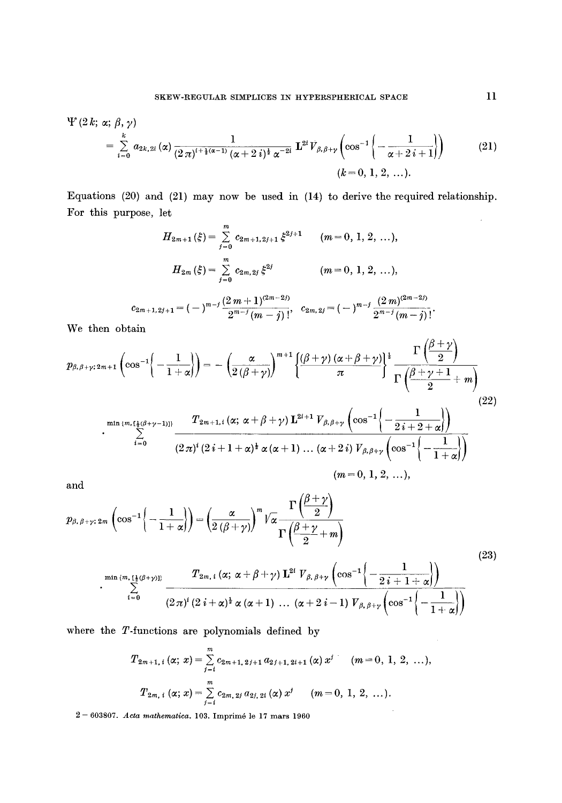$$
\Psi(2 k; \alpha; \beta, \gamma) = \sum_{i=0}^{k} a_{2k, 2i}(\alpha) \frac{1}{(2\pi)^{i + \frac{1}{2}(\alpha - 1)} (\alpha + 2i)^{\frac{1}{2}} \alpha^{-2i}} \mathbf{L}^{2i} V_{\beta, \beta + \gamma} \left(\cos^{-1}\left(-\frac{1}{\alpha + 2i + 1}\right)\right) \qquad (21)
$$
  
\n
$$
(k = 0, 1, 2, ...).
$$

Equations (20) and (21) may now be used in (14) to derive the required relationship. For this purpose, let  $\bar{u}$ 

$$
H_{2m+1}(\xi) = \sum_{j=0}^{m} c_{2m+1,2j+1} \xi^{2j+1} \qquad (m = 0, 1, 2, ...),
$$

$$
H_{2m}(\xi) = \sum_{j=0}^{m} c_{2m,2j} \xi^{2j} \qquad (m = 0, 1, 2, ...),
$$

$$
c_{2m+1,2j+1} = (-)^{m-j} \frac{(2 \, m+1)^{(2m-2j)}}{2^{m-j} (m-j)!}, \quad c_{2m,2j} = (-)^{m-j} \frac{(2 \, m)^{(2m-2j)}}{2^{m-j} (m-j)!}.
$$

We then obtain

$$
p_{\beta,\beta+\gamma;2m+1}\left(\cos^{-1}\left(-\frac{1}{1+\alpha}\right)\right) = -\left(\frac{\alpha}{2(\beta+\gamma)}\right)^{m+1}\left\{\frac{(\beta+\gamma)(\alpha+\beta+\gamma)}{\pi}\right\}^{\frac{1}{2}}\frac{\Gamma\left(\frac{\beta+\gamma}{2}\right)}{\Gamma\left(\frac{\beta+\gamma+1}{2}+m\right)}
$$
\n
$$
T_{\gamma} = \sqrt{(\alpha-\gamma+\beta+\gamma)}\mathbf{I}^{2i+1}\mathbf{V}_{\gamma} = \left(\cos^{-1}\left(-\frac{1}{2}\right)\right)
$$
\n(22)

$$
\cdot \sum_{i=0}^{\min{\{m, \lfloor\frac{1}{2}(\beta+\gamma-1)\rfloor\}}}} \frac{T_{2m+1,i}(\alpha;\, \alpha+\beta+\gamma) \, \mathbf{L}^{2i+1} \, V_{\beta,\beta+\gamma} \left(\cos^{-1}\left\{-\frac{1}{2\,i+2+\alpha}\right\}\right)}{(2\,\pi)^i \, (2\,i+1+\alpha)^{\frac{1}{2}} \, \alpha\, (\alpha+1)\, \dots \, (\alpha+2\,i) \, V_{\beta,\beta+\gamma} \left(\cos^{-1}\left\{-\frac{1}{1+\alpha}\right\}\right)} \quad (m=0,\,1,\,2,\,\dots),
$$

and

$$
p_{\beta,\beta+\gamma;2m} \left(\cos^{-1}\left\{-\frac{1}{1+\alpha}\right\}\right) = \left(\frac{\alpha}{2\left(\beta+\gamma\right)}\right)^m \sqrt{\alpha} \frac{\Gamma\left(\frac{\beta+\gamma}{2}\right)}{\Gamma\left(\frac{\beta+\gamma}{2}+m\right)} \qquad (23)
$$
\n
$$
\sum_{i=0}^{\min\{m,\lfloor\frac{1}{2}\left(\beta+\gamma\right)\rfloor\}} \frac{T_{2m,i} \left(\alpha;\ \alpha+\beta+\gamma\right) \mathbf{I}^{2i} \ V_{\beta,\beta+\gamma} \left(\cos^{-1}\left(-\frac{1}{2\,i+1+\alpha}\right)\right)}{\left(2\,\pi\right)^i \left(2\,i+\alpha\right)^{\frac{1}{2}} \alpha\left(\alpha+1\right) \ \dots \ \left(\alpha+2\,i-1\right) \ V_{\beta,\beta+\gamma} \left(\cos^{-1}\left(-\frac{1}{1+\alpha}\right)\right)} \tag{23}
$$

where the T-functions are polynomials defined by

$$
T_{2m+1, i} (\alpha; x) = \sum_{j=i}^{m} c_{2m+1, 2j+1} a_{2j+1, 2i+1} (\alpha) x^{j} \quad (m = 0, 1, 2, ...),
$$
  

$$
T_{2m, i} (\alpha; x) = \sum_{j=i}^{m} c_{2m, 2j} a_{2j, 2i} (\alpha) x^{j} \quad (m = 0, 1, 2, ...).
$$

2 -- 603807. *Acta mathematica.* 103. Imprim6 le 17 mars 1960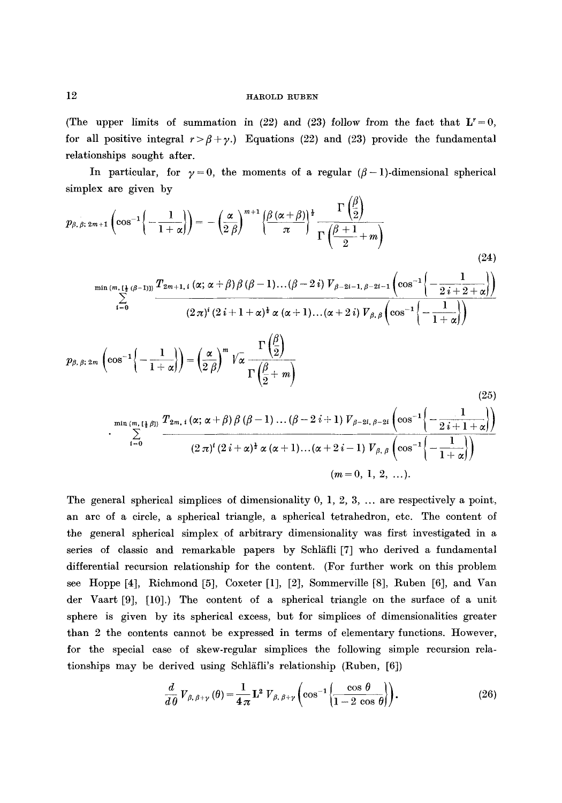(The upper limits of summation in (22) and (23) follow from the fact that  $L' = 0$ , for all positive integral  $r > \beta + \gamma$ .) Equations (22) and (23) provide the fundamental relationships sought after.

In particular, for  $\gamma=0$ , the moments of a regular ( $\beta-1$ )-dimensional spherical simplex are given by  $\overline{1}$ 

$$
p_{\beta,\beta;2m+1}\left(\cos^{-1}\left\{-\frac{1}{1+\alpha}\right\}\right) = -\left(\frac{\alpha}{2\beta}\right)^{m+1}\left\{\frac{\beta(\alpha+\beta)}{\pi}\right\}^{\frac{1}{2}}\frac{\Gamma\left(\frac{\beta}{2}\right)}{\Gamma\left(\frac{\beta+1}{2}+m\right)}
$$
\n
$$
\min\left(\sum_{i=0}^{m,[\frac{1}{2}(\beta-1)]]}\frac{T_{2m+1,i}(\alpha;\alpha+\beta)\beta(\beta-1)...(\beta-2i)V_{\beta-2i-1,\beta-2i-1}\left(\cos^{-1}\left\{-\frac{1}{2i+2+\alpha}\right\}\right)}{(2\pi)^{i}(2i+1+\alpha)^{\frac{1}{2}}\alpha(\alpha+1)...(\alpha+2i)V_{\beta,\beta}\left(\cos^{-1}\left\{-\frac{1}{1+\alpha}\right\}\right)}
$$
\n
$$
p_{\beta,\beta;2m}\left(\cos^{-1}\left\{-\frac{1}{1+\alpha}\right\}\right) = \left(\frac{\alpha}{2\beta}\right)^{m}\sqrt{\alpha}\frac{\Gamma\left(\frac{\beta}{2}\right)}{\Gamma\left(\frac{\beta}{2}+m\right)}
$$
\n
$$
\min\left(\sum_{i=0}^{m,[\frac{1}{2}(\beta)]}\frac{T_{2m,i}(\alpha;\alpha+\beta)\beta(\beta-1)...(\beta-2i+1)V_{\beta-2i,\beta-2i}\left(\cos^{-1}\left\{-\frac{1}{2i+1+\alpha}\right\}\right)}{(2\pi)^{i}(2i+\alpha)^{\frac{1}{2}}\alpha(\alpha+1)...(\alpha+2i-1)V_{\beta,\beta}\left(\cos^{-1}\left\{-\frac{1}{1+\alpha}\right\}\right)}
$$
\n(25)

$$
(m = 0, 1, 2, ...).
$$

The general spherical simplices of dimensionality 0, 1, 2, 3 .... are respectively a point, an arc of a circle, a spherical triangle, a spherical tetrahedron, etc. The content of the general spherical simplex of arbitrary dimensionality was first investigated in a series of classic and remarkable papers by Schläfli [7] who derived a fundamental differential recursion relationship for the content. (For further work on this problem see Hoppe [4], Richmond [5], Coxeter [1], [2], Sommerville [8], Ruben [6], and Van der Vaart [9], [10].) The content of a spherical triangle on the surface of a unit sphere is given by its spherical excess, but for simpliees of dimensionalities greater than 2 the contents cannot be expressed in terms of elementary functions. However, for the special case of skew-regular simplices the following simple reeursion relationships may be derived using Schläfli's relationship (Ruben, [6])

$$
\frac{d}{d\theta}V_{\beta,\beta+\gamma}(\theta) = \frac{1}{4\pi}\mathbf{L}^2 V_{\beta,\beta+\gamma}\left(\cos^{-1}\left(\frac{\cos\theta}{1-2\cos\theta}\right)\right). \tag{26}
$$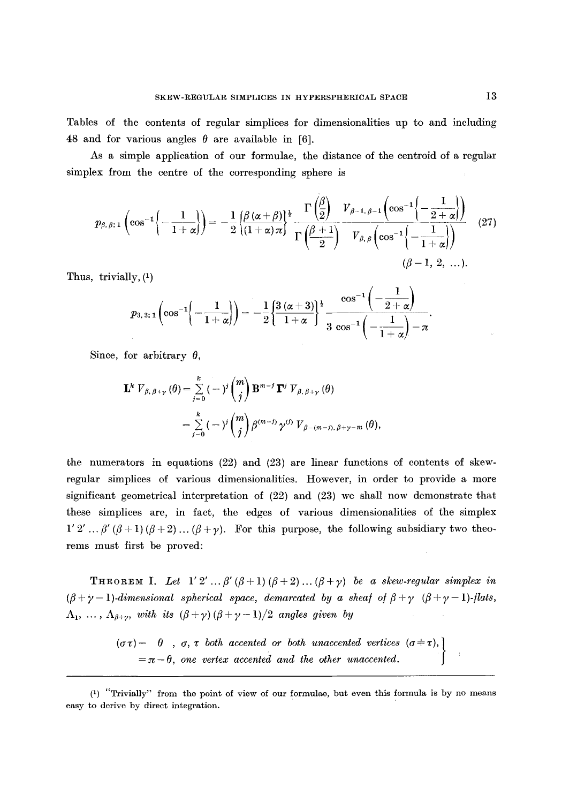Tables of the contents of regular simplices for dimensionalities up to and including 48 and for various angles  $\theta$  are available in [6].

As a simple application of our formulae, the distance of the centroid of a regular simplex from the centre of the corresponding sphere is

$$
p_{\beta,\beta;1}\left(\cos^{-1}\left(-\frac{1}{1+\alpha}\right)\right) = -\frac{1}{2}\frac{\beta(\alpha+\beta)}{(1+\alpha)\pi} \frac{\Gamma\left(\frac{\beta}{2}\right)}{\Gamma\left(\frac{\beta+1}{2}\right)} \frac{V_{\beta-1,\beta-1}\left(\cos^{-1}\left\{-\frac{1}{2+\alpha}\right\}\right)}{V_{\beta,\beta}\left(\cos^{-1}\left\{-\frac{1}{1+\alpha}\right\}\right)}
$$
(27)  

$$
(\beta=1, 2, ...).
$$

Thus, trivially,  $(1)$ 

$$
p_{3,\,3;\,1}\left(\cos^{-1}\!\!\left\{-\frac{1}{1+\alpha}\right\}\right)\!=-\frac{1}{2}\!\left\{\! \frac{3\,(\alpha+3)}{1+\alpha}\!\right\}^{\frac{1}{2}}\frac{\cos^{-1}\!\left(\!-\frac{1}{2+\alpha}\!\right)}{3\,\cos^{-1}\!\left(-\frac{1}{1+\alpha}\!\right)\!-\!\pi}.
$$

Since, for arbitrary  $\theta$ ,

$$
\mathbf{L}^{k} V_{\beta, \beta + \gamma}(\theta) = \sum_{j=0}^{k} (-j^{j} {m \choose j} \mathbf{B}^{m-j} \mathbf{\Gamma}^{j} V_{\beta, \beta + \gamma}(\theta)
$$
  
= 
$$
\sum_{j=0}^{k} (-j^{j} {m \choose j} \beta^{(m-j)} \gamma^{(j)} V_{\beta - (m-j), \beta + \gamma - m}(\theta),
$$

the numerators in equations  $(22)$  and  $(23)$  are linear functions of contents of skewregular simplices of various dimensionalities. However, in order to provide a more significant geometrical interpretation of (22) and (23) we shall now demonstrate that these simplices are, in fact, the edges of various dimensionalities of the simplex  $1' 2' \ldots \beta' (\beta + 1) (\beta + 2) \ldots (\beta + \gamma)$ . For this purpose, the following subsidiary two theorems must first be proved:

THEOREM I. Let  $1' 2' ... \beta' (\beta + 1) (\beta + 2) ... (\beta + \gamma)$  *be a skew-regular simplex in*  $(\beta + \gamma - 1)$ -dimensional spherical space, demarcated by a sheaf of  $\beta + \gamma$  ( $\beta + \gamma - 1$ )-flats,  $\Lambda_1, \ldots, \Lambda_{\beta+\gamma}$ , with its  $(\beta+\gamma)(\beta+\gamma-1)/2$  angles given by

> $(\sigma \tau) = \theta$ ,  $\sigma$ ,  $\tau$  *both accented or both unaccented vertices*  $(\sigma \pm \tau)$ ,  $=\pi - \theta$ , one vertex accented and the other unaccented.

<sup>(1) &</sup>quot;Trivially" from the point of view of our formulae, but even this formula is by no means easy to derive by direct integration.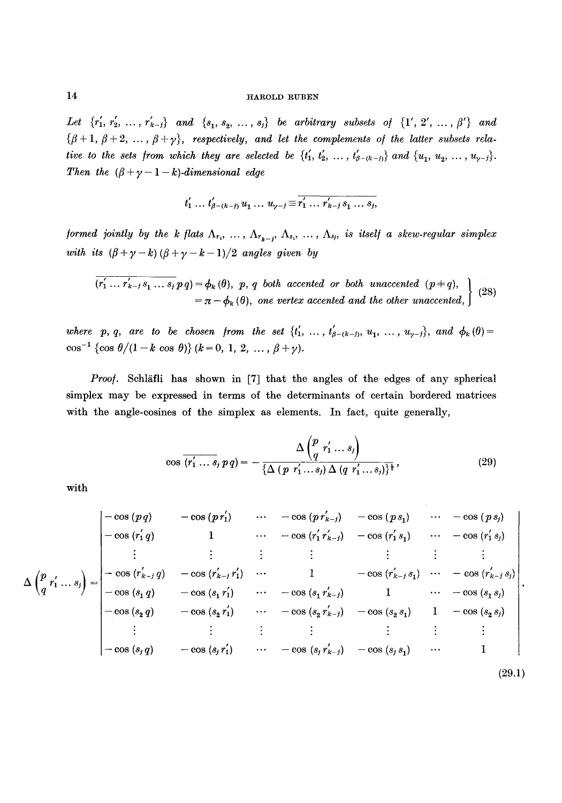*Let*  $\{r'_1, r'_2, ..., r'_{k-j}\}$  and  $\{s_1, s_2, ..., s_j\}$  be arbitrary subsets of  $\{1', 2', ..., \beta'\}$  and  $\{\beta + 1, \beta + 2, \ldots, \beta + \gamma\},$  respectively, and let the complements of the latter subsets rela*tive to the sets from which they are selected be*  $\{t'_1, t'_2, ..., t'_{\beta-(k-i)}\}$  *and*  $\{u_1, u_2, ..., u_{\gamma-i}\}.$ *Then the*  $(\beta + \gamma - 1 - k)$ -dimensional edge

$$
t'_1 \ldots t'_{\beta-(k-j)} u_1 \ldots u_{\gamma-j} \equiv \overline{r'_1 \ldots r'_{k-j} s_1 \ldots s_j},
$$

*formed jointly by the k flats*  $\Lambda_r$ , ...,  $\Lambda_{r_{k-j}}, \Lambda_{s_1}, \ldots, \Lambda_{s_j}$ , is itself a skew-regular simplex *with its*  $(\beta + \gamma - k)(\beta + \gamma - k - 1)/2$  *angles given by* 

$$
\overline{(r'_1 \dots r'_{k-1} s_1 \dots s_j} p q) = \phi_k(\theta), \ p, q \text{ both } accelerated \text{ or both } unaccented } (p+q),
$$
  
=  $\pi - \phi_k(\theta)$ , one vertex accented and the other unaccented, (28)

*where p, q, are to be chosen from the set*  $\{t'_1, \ldots, t'_{\beta-(k-j)}, u_1, \ldots, u_{\gamma-j}\}$ , and  $\phi_k(\theta)$  = cos<sup>-1</sup> {cos  $\theta/(1-k \cos \theta)$ }  $(k=0, 1, 2, ..., \beta+\gamma)$ .

*Proof.* Schläfli has shown in [7] that the angles of the edges of any spherical simplex may be expressed in terms of the determinants of certain bordered matrices with the angle-cosines of the simplex as elements. In fact, quite generally,

$$
\cos \overline{(r'_1 \dots s_j p q)} = -\frac{\Delta \left(\begin{array}{c} p \\ q \end{array} r'_1 \dots s_j \right)}{\{\Delta (p \ r'_1 \dots s_j) \Delta (q \ r'_1 \dots s_j)\}^{\frac{1}{2}}},\tag{29}
$$

with

$$
\Delta \begin{pmatrix} p_{r_1} & \cdots & -\cos(p_{r_1}r_2) & \cdots & -\cos(p_{r_{k-j}}) & -\cos(p_{s_1}) & \cdots & -\cos(p_{s_j}) \\ -\cos(r_1'q) & 1 & \cdots & -\cos(r_1'r_{k-j}) & -\cos(r_1's_1) & \cdots & -\cos(r_1's_j) \\ \vdots & \vdots & \vdots & \vdots & \vdots & \vdots & \vdots & \vdots \\ -\cos(r_{k-j}'q) & -\cos(r_{k-j}'r_1) & \cdots & 1 & -\cos(r_{k-j}'s_1) & \cdots & -\cos(r_{k-j}'s_j) \\ -\cos(s_1q) & -\cos(s_1r_1) & \cdots & -\cos(s_1r_{k-j}) & 1 & \cdots & -\cos(s_1s_j) \\ -\cos(s_2q) & -\cos(s_2r_1) & \cdots & -\cos(s_2r_{k-j}') & -\cos(s_2s_1) & 1 & -\cos(s_2s_j) \\ \vdots & \vdots & \vdots & \vdots & \vdots & \vdots & \vdots \\ -\cos(s_jq) & -\cos(s_jr_1) & \cdots & -\cos(s_jr_{k-j}') & -\cos(s_js_1) & \cdots & 1 \end{pmatrix},\tag{29.1}
$$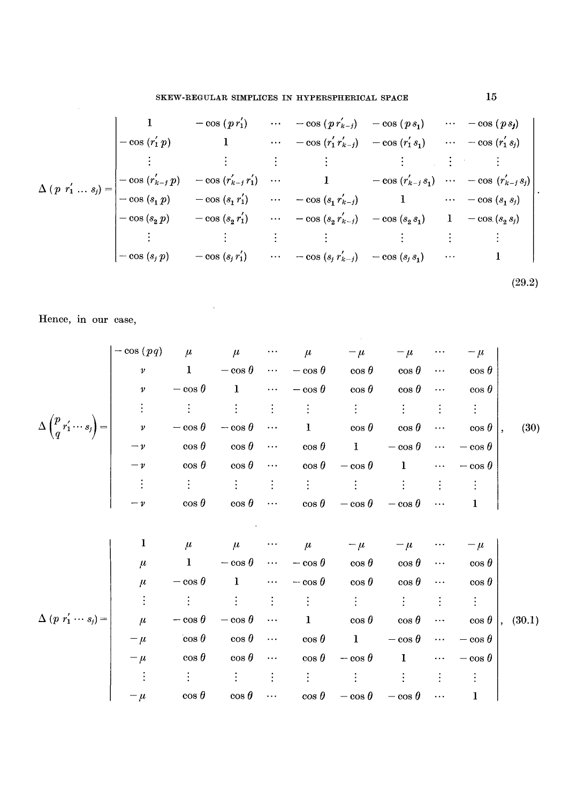$$
\Delta (p \ r'_1 \ldots s_j) = \begin{vmatrix}\n1 & -\cos (p \ r'_1) & \cdots & -\cos (p \ r'_{k-j}) & -\cos (p \ s_1) & \cdots & -\cos (p \ s_j) \\
-\cos (r'_1 \ p) & 1 & \cdots & -\cos (r'_1 \ r'_{k-j}) & -\cos (r'_1 \ s_1) & \cdots & -\cos (r'_1 \ s_j) \\
\vdots & \vdots & \vdots & \vdots & \vdots & \vdots \\
-\cos (r'_{k-j} \ p) & -\cos (r'_{k-j} \ r'_1) & \cdots & 1 & -\cos (r'_{k-j} \ s_1) & \cdots & -\cos (r'_{k-j} \ s_j) \\
-\cos (s_1 \ p) & -\cos (s_1 \ r'_1) & \cdots & -\cos (s_1 \ r'_{k-j}) & 1 & \cdots & -\cos (s_1 \ s_j) \\
-\cos (s_2 \ p) & -\cos (s_2 \ r'_1) & \cdots & -\cos (s_2 \ r'_{k-j}) & -\cos (s_2 \ s_1) & 1 & -\cos (s_2 \ s_j) \\
\vdots & \vdots & \vdots & \vdots & \vdots & \vdots \\
-\cos (s_j \ p) & -\cos (s_j \ r'_1) & \cdots & -\cos (s_j \ r'_{k-j}) & -\cos (s_j \ s_1) & \cdots & 1\n\end{vmatrix}.
$$
\n(29.2)

 $\mathcal{L}^{\text{max}}_{\text{max}}$ 

Hence, in our case,

$$
\Delta \left( \begin{matrix} p \\ q'_{1} \cdots s_{j} \end{matrix} \right) = \begin{bmatrix} -\cos(pq) & \mu & \mu & \cdots & \mu & -\mu & -\mu & \cdots & -\mu \\ v & 1 & -\cos\theta & \cdots & -\cos\theta & \cos\theta & \cos\theta & \cdots & \cos\theta \\ v & -\cos\theta & 1 & \cdots & -\cos\theta & \cos\theta & \cos\theta & \cdots & \cos\theta \\ \vdots & \vdots & \vdots & \vdots & \vdots & \vdots & \vdots & \vdots & \vdots \\ v & -\cos\theta & -\cos\theta & \cdots & 1 & \cos\theta & \cos\theta & \cdots & \cos\theta \\ -v & \cos\theta & \cos\theta & \cdots & 1 & \cos\theta & \cos\theta & \cdots & -\cos\theta \\ \vdots & \vdots & \vdots & \vdots & \vdots & \vdots & \vdots & \vdots & \vdots \\ -v & \cos\theta & \cos\theta & \cdots & \cos\theta & -\cos\theta & 1 & \cdots & -\cos\theta \\ \vdots & \vdots & \vdots & \vdots & \vdots & \vdots & \vdots & \vdots & \vdots \\ -v & \cos\theta & \cos\theta & \cdots & \cos\theta & -\cos\theta & \cdots & 1 \end{bmatrix}
$$
  
\n
$$
\begin{bmatrix} 1 & \mu & \mu & \cdots & \mu & -\mu & -\mu & \cdots & -\mu \\ \mu & 1 & -\cos\theta & \cdots & -\cos\theta & \cos\theta & \cdots & 1 \\ \mu & -\cos\theta & 1 & \cdots & -\cos\theta & \cos\theta & \cdots & \cos\theta \\ \vdots & \vdots & \vdots & \vdots & \vdots & \vdots & \vdots & \vdots \\ \mu & -\cos\theta & -\cos\theta & \cdots & 1 & \cos\theta & \cos\theta & \cdots & \cos\theta \\ -\mu & \cos\theta & \cos\theta & \cdots & \cos\theta & 1 & -\cos\theta & \cdots & -\cos\theta \\ -\mu & \cos\theta & \cos\theta & \cdots & \cos\theta & -\cos\theta & 1 & \cdots & -\cos\theta \\ \vdots & \vdots & \vdots & \vdots & \vdots & \vdots & \vdots & \vdots & \vdots \\ -\mu & \cos\theta & \cos\theta & \cdots & \cos\theta & -\
$$

15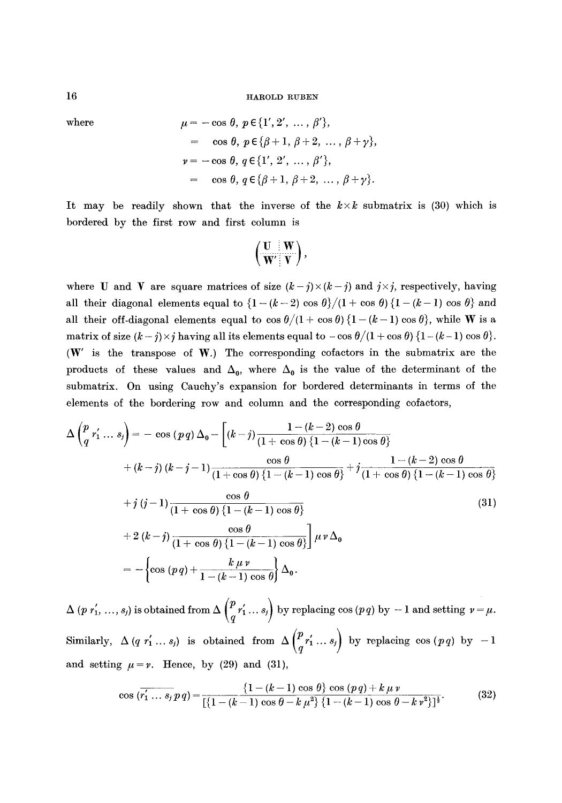where  
\n
$$
\mu = -\cos \theta, \ p \in \{1', 2', ..., \beta'\},
$$
\n
$$
= \cos \theta, \ p \in \{\beta + 1, \ \beta + 2, ..., \beta + \gamma\},
$$
\n
$$
\nu = -\cos \theta, \ q \in \{1', 2', ..., \beta'\},
$$
\n
$$
= \cos \theta, \ q \in \{\beta + 1, \ \beta + 2, ..., \beta + \gamma\}.
$$

It may be readily shown that the inverse of the  $k \times k$  submatrix is (30) which is bordered by the first row and first column is

$$
\left(\frac{\mathbf{U}\parallel\mathbf{W}}{\mathbf{W}'\parallel\mathbf{V}}\right),
$$

where U and V are square matrices of size  $(k-j)\times (k-j)$  and  $j\times j$ , respectively, having all their diagonal elements equal to  $\{1 - (k-2) \cos \theta\}$  ( $1 + \cos \theta$ )  $\{1 - (k-1) \cos \theta\}$  and all their off-diagonal elements equal to  $\cos \theta/(1 + \cos \theta)$  {1 - (k - 1) cos  $\theta$ }, while W is a matrix of size  $(k - j) \times j$  having all its elements equal to  $-\cos \theta/(1 + \cos \theta)$   $\{1 - (k-1) \cos \theta\}.$ (W' is the transpose of W.) The corresponding cofactors in the submatrix are the products of these values and  $\Delta_0$ , where  $\Delta_0$  is the value of the determinant of the submatrix. On using Cauehy's expansion for bordered determinants in terms of the elements of the bordering row and column and the corresponding eofactors,

$$
\Delta \left( \frac{p}{q} r'_1 \dots s_j \right) = -\cos (pq) \Delta_0 - \left[ (k-j) \frac{1 - (k-2) \cos \theta}{(1 + \cos \theta) \{1 - (k-1) \cos \theta\}} + (k-j) (k-j-1) \frac{\cos \theta}{(1 + \cos \theta) \{1 - (k-1) \cos \theta\}} + j \frac{1 - (k-2) \cos \theta}{(1 + \cos \theta) \{1 - (k-1) \cos \theta\}} + j \frac{1 - (k-2) \cos \theta}{(1 + \cos \theta) \{1 - (k-1) \cos \theta\}} + j (j-1) \frac{\cos \theta}{(1 + \cos \theta) \{1 - (k-1) \cos \theta\}} \right]
$$
\n(31)  
\n
$$
+ 2 (k-j) \frac{\cos \theta}{(1 + \cos \theta) \{1 - (k-1) \cos \theta\}} \mu \nu \Delta_0
$$
\n
$$
= -\left\{ \cos (pq) + \frac{k \mu \nu}{1 - (k-1) \cos \theta} \right\} \Delta_0.
$$

 $\Delta\ (p\ r_1',\ ... ,s_j) \hbox{ is obtained from } \Delta\left(\frac{p}{q}\ r_1' \dots s_j\right) \hbox{ by replacing } \cos\ (p\ q) \hbox{ by } -1 \hbox{ and setting } \ v=\mu.$ Similarly,  $\Delta (q r'_1 ... s_j)$  is obtained from  $\Delta \begin{pmatrix} p r'_1 ... s_j \ q''_1 ... s_j \end{pmatrix}$  by replacing  $\cos (pq)$  by  $-1$ and setting  $\mu = \nu$ . Hence, by (29) and (31),

$$
\cos\left(\overline{r'_1\ldots s_j}\,p\,q\right) = \frac{\left\{1 - (k-1)\cos\,\theta\right\}\cos\left(\frac{p\,q\right) + k\,\mu\,v}{\left[\left\{1 - (k-1)\cos\,\theta - k\,\mu^2\right\}\,\left\{1 - (k-1)\cos\,\theta - k\,v^2\right\}\right]^{\frac{1}{2}}}.\tag{32}
$$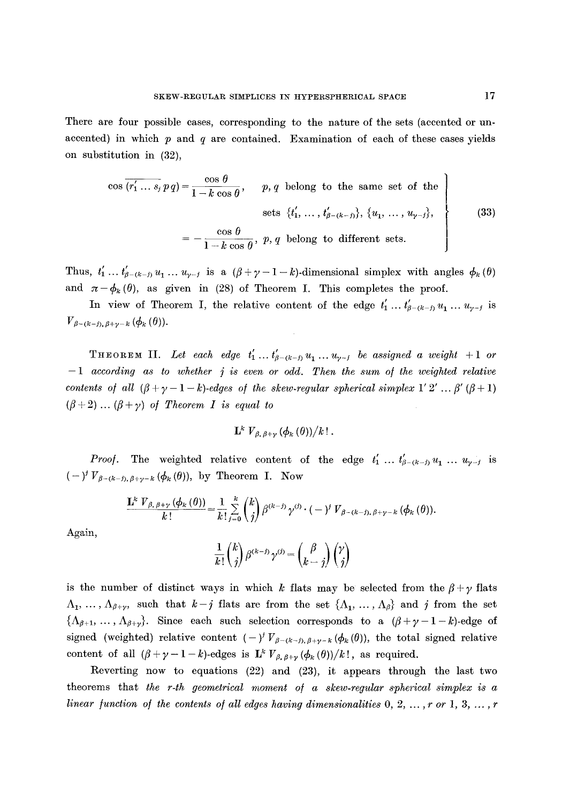There are four possible cases, corresponding to the nature of the sets (accented or unaccented) in which  $p$  and  $q$  are contained. Examination of each of these cases yields on substitution in (32),

$$
\cos \overline{(r'_1 \dots s_j \, p \, q)} = \frac{\cos \theta}{1 - k \cos \theta}, \qquad p, q \text{ belong to the same set of thesets } \{t'_1, \dots, t'_{\beta - (k - j)}\}, \{u_1, \dots, u_{\gamma - j}\},
$$
\n
$$
= -\frac{\cos \theta}{1 - k \cos \theta}, \ p, q \text{ belong to different sets.}
$$
\n(33)

Thus,  $t'_1 \ldots t'_{\beta-(k-j)} u_1 \ldots u_{\gamma-j}$  is a  $(\beta+\gamma-1-k)$ -dimensional simplex with angles  $\phi_k(\theta)$ and  $\pi-\phi_k(\theta)$ , as given in (28) of Theorem I. This completes the proof.

In view of Theorem I, the relative content of the edge  $t'_1 \dots t'_{\beta-(k-j)} u_1 \dots u_{\gamma-j}$  is  $V_{\beta-(k-j),\beta+\gamma-k}(\phi_k(\theta)).$ 

**THEOREM II.** Let each edge  $t'_1 \ldots t'_{\beta-(k-j)} u_1 \ldots u_{\gamma-j}$  be assigned a weight +1 or  $-1$  according as to whether  $j$  is even or odd. Then the sum of the weighted relative *contents of all*  $(\beta + \gamma - 1 - k)$ *-edges of the skew-regular spherical simplex 1' 2' ...*  $\beta'(\beta + 1)$  $(\beta+2)$  ...  $(\beta+\gamma)$  of Theorem I is equal to

$$
\mathbf{L}^k \ V_{\beta, \ \beta+\gamma} \left(\phi_k\left(\theta\right)\right)/k! \ .
$$

*Proof.* The weighted relative content of the edge  $t'_1$  ...  $t'_{\beta-(k-j)}u_1$  ...  $u_{\gamma-j}$  is  $(-)^{j}V_{\beta-(k-j),\beta+\gamma-k}$   $(\phi_k(\theta))$ , by Theorem I. Now

$$
\frac{\mathbf{L}^k \ V_{\beta,\,\beta+\gamma} \left( \phi_k \left( \theta \right) \right)}{k!} = \frac{1}{k!} \sum_{j=0}^k \binom{k}{j} \beta^{(k-j)} \gamma^{(j)} \cdot (-)^j \ V_{\beta-(k-j),\,\beta+\gamma-k} \left( \phi_k \left( \theta \right) \right).
$$

Again,

$$
\frac{1}{k!} \binom{k}{j} \,\beta^{(k-j)} \,\gamma^{(j)} = \binom{\beta}{k-j} \binom{\gamma}{j}
$$

is the number of distinct ways in which k flats may be selected from the  $\beta + \gamma$  flats  $\Lambda_1, \ldots, \Lambda_{\beta+\gamma}$ , such that  $k-j$  flats are from the set  $\{\Lambda_1, \ldots, \Lambda_{\beta}\}\$  and j from the set  ${\{\Lambda_{\beta+1},\ldots,\Lambda_{\beta+\gamma}\}}$ . Since each such selection corresponds to a  $(\beta+\gamma-1-k)$ -edge of signed (weighted) relative content  $(-)^j V_{\beta-(k-j),\beta+\gamma-k} (\phi_k(\theta))$ , the total signed relative content of all  $(\beta + \gamma - 1 - k)$ -edges is  $\mathbf{L}^k V_{\beta, \beta + \gamma} (\phi_k (\theta))/k!$ , as required.

Reverting now to equations (22) and (23), it appears through the last two theorems that *the r-th geometrical moment o/ a skew-regular spherical simplex is a linear function of the contents of all edges having dimensionalities 0, 2, ..., r or 1, 3, ..., r*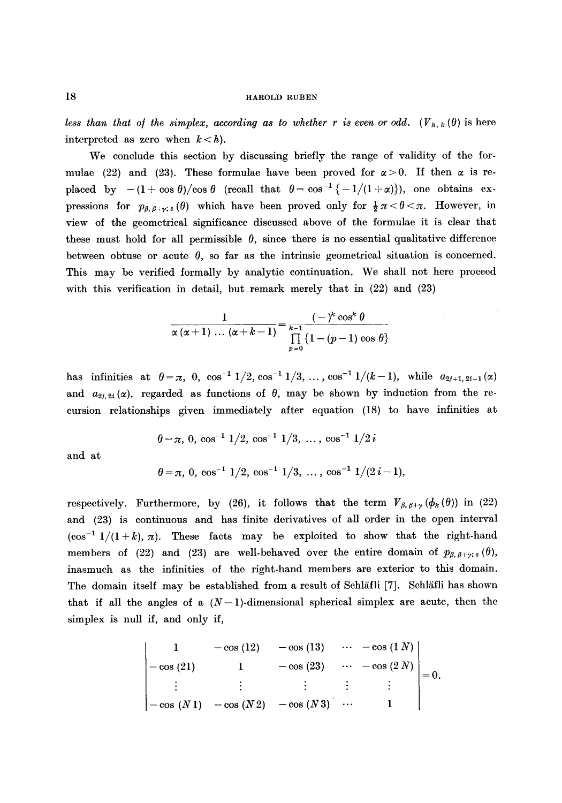*less than that of the simplex, according as to whether r is even or odd.*  $(V_{h,k}(\theta))$  is here interpreted as zero when  $k < h$ ).

We conclude this section by discussing briefly the range of validity of the formulae (22) and (23). These formulae have been proved for  $\alpha > 0$ . If then  $\alpha$  is replaced by  $-(1 + \cos \theta)/\cos \theta$  (recall that  $\theta = \cos^{-1} \{-1/(1 + \alpha)\}\)$ , one obtains expressions for  $p_{\beta,\beta+\gamma;s}(\theta)$  which have been proved only for  $\frac{1}{2}\pi < \theta < \pi$ . However, in view of the geometrical significance discussed above of the formulae it is clear that these must hold for all permissible  $\theta$ , since there is no essential qualitative difference between obtuse or acute  $\theta$ , so far as the intrinsic geometrical situation is concerned. This may be verified formally by analytic continuation. We shall not here proceed with this verification in detail, but remark merely that in  $(22)$  and  $(23)$ 

$$
\frac{1}{\alpha(\alpha+1)\ldots(\alpha+k-1)}=\frac{(-)^k\cos^k\theta}{\prod\limits_{p=0}^{k-1}\left\{1-(p-1)\cos\theta\right\}}
$$

has infinities at  $\theta = \pi$ , 0,  $\cos^{-1} 1/2$ ,  $\cos^{-1} 1/3$ , ...,  $\cos^{-1} 1/(k-1)$ , while  $a_{2j+1,2i+1}(\alpha)$ and  $a_{2i,2i}(\alpha)$ , regarded as functions of  $\theta$ , may be shown by induction from the recursion relationships given immediately after equation (18) to have infinities at

$$
\theta = \pi
$$
, 0,  $\cos^{-1} 1/2$ ,  $\cos^{-1} 1/3$ , ...,  $\cos^{-1} 1/2i$ 

and at

$$
\theta = \pi
$$
, 0,  $\cos^{-1} 1/2$ ,  $\cos^{-1} 1/3$ , ...,  $\cos^{-1} 1/(2i-1)$ ,

respectively. Furthermore, by (26), it follows that the term  $V_{\beta, \beta+\gamma}(\phi_k(\theta))$  in (22) and (23) is continuous and has finite derivatives of all order in the open interval  $(\cos^{-1} 1/(1+k), \pi)$ . These facts may be exploited to show that the right-hand members of (22) and (23) are well-behaved over the entire domain of  $p_{\beta, \beta+\gamma; s}(\theta)$ , inasmuch as the infinities of the right-hand members are exterior to this domain. The domain itself may be established from a result of Schläfli [7]. Schläfli has shown that if all the angles of a  $(N-1)$ -dimensional spherical simplex are acute, then the simplex is null if, and only if,

$$
\begin{vmatrix}\n1 & -\cos(12) & -\cos(13) & \cdots & -\cos(1 N) \\
-\cos(21) & 1 & -\cos(23) & \cdots & -\cos(2 N) \\
\vdots & \vdots & \vdots & \vdots & \vdots \\
-\cos(N1) & -\cos(N2) & -\cos(N3) & \cdots & 1\n\end{vmatrix} = 0.
$$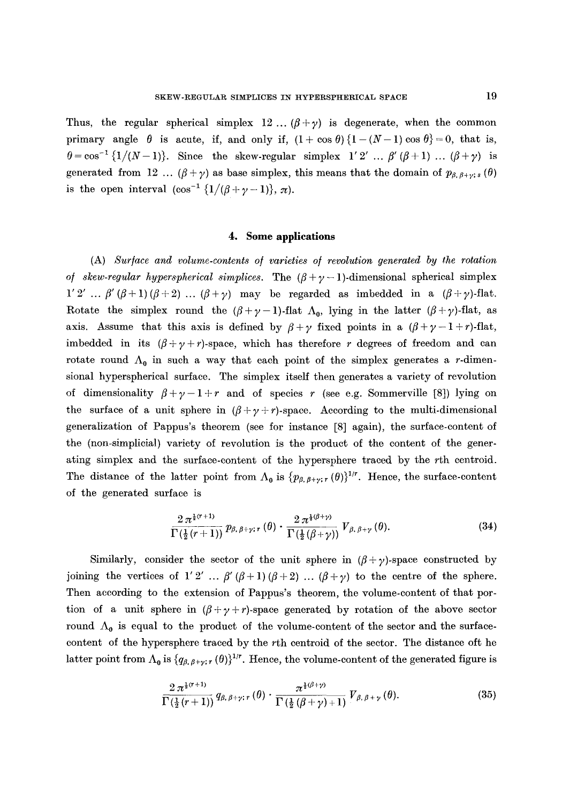Thus, the regular spherical simplex 12 ...  $(\beta + \gamma)$  is degenerate, when the common primary angle  $\theta$  is acute, if, and only if,  $(1 + \cos \theta)$  { $1 - (N-1) \cos \theta$ }=0, that is,  $\theta = \cos^{-1}{1/(N-1)}$ . Since the skew-regular simplex  $1' 2' ... \beta' (\beta + 1) ... (\beta + \gamma)$  is generated from 12 ...  $(\beta + \gamma)$  as base simplex, this means that the domain of  $p_{\beta, \beta + \gamma; s}(\theta)$ is the open interval  $(\cos^{-1} \{1/(\beta+\gamma-1)\}, \pi)$ .

## **4. Some applications**

(A) *Sur/ace and volume-contents o/ varieties o/ revolution generated by the rotation of skew-regular hyperspherical simplices.* The  $(\beta + \gamma - 1)$ -dimensional spherical simplex  $1'2' ... \beta'(\beta+1)(\beta+2)...(\beta+\gamma)$  may be regarded as imbedded in a  $(\beta+\gamma)$ -flat. Rotate the simplex round the  $(\beta + \gamma - 1)$ -flat  $\Lambda_0$ , lying in the latter  $(\beta + \gamma)$ -flat, as axis. Assume that this axis is defined by  $\beta + \gamma$  fixed points in a  $(\beta + \gamma - 1 + r)$ -flat, imbedded in its  $(\beta + \gamma + r)$ -space, which has therefore r degrees of freedom and can rotate round  $\Lambda_0$  in such a way that each point of the simplex generates a r-dimensional hyperspherical surface. The simplex itself then generates a variety of revolution of dimensionality  $\beta+\gamma-1+r$  and of species r (see e.g. Sommerville [8]) lying on the surface of a unit sphere in  $(\beta + \gamma + r)$ -space. According to the multi-dimensional generalization of Pappus's theorem (see for instance [8] again), the surface-content of the (non-simplicial) variety of revolution is the product of the content of the generating simplex and the surface-content of the hypersphere traced by the rth centroid. The distance of the latter point from  $\Lambda_0$  is  $\{p_{\beta,\beta+\gamma;\tau} (\theta)\}^{1/r}$ . Hence, the surface-content of the generated surface is

$$
\frac{2\,\pi^{\frac{1}{2}(\tau+1)}}{\Gamma\left(\frac{1}{2}\,(\tau+1)\right)}\,p_{\beta,\,\beta+\gamma;\,\tau}\left(\theta\right)\cdot\frac{2\,\pi^{\frac{1}{2}(\beta+\gamma)}}{\Gamma\left(\frac{1}{2}\,(\beta+\gamma)\right)}\,V_{\beta,\,\beta+\gamma}\left(\theta\right). \tag{34}
$$

Similarly, consider the sector of the unit sphere in  $(\beta + \gamma)$ -space constructed by joining the vertices of 1'2' ...  $\beta'(\beta+1)(\beta+2)$  ...  $(\beta+\gamma)$  to the centre of the sphere. Then according to the extension of Pappus's theorem, the volume-content of that portion of a unit sphere in  $(\beta + \gamma + r)$ -space generated by rotation of the above sector round  $\Lambda_0$  is equal to the product of the volume-content of the sector and the surfacecontent of the hypersphere traced by the rth centroid of the sector. The distance oft he latter point from  $\Lambda_0$  is  $\{q_{\beta,\beta+\gamma;\,r}(\theta)\}^{1/r}$ . Hence, the volume-content of the generated figure is

$$
\frac{2\,\pi^{\frac{1}{2}(\tau+1)}}{\Gamma\left(\frac{1}{2}\,(\tau+1)\right)}\,q_{\beta,\,\beta+\gamma;\,r}\left(\theta\right)\cdot\frac{\pi^{\frac{1}{2}\left(\beta+\gamma\right)}}{\Gamma\left(\frac{1}{2}\,\left(\beta+\gamma\right)+1\right)}\,V_{\beta,\,\beta+\gamma}\left(\theta\right). \tag{35}
$$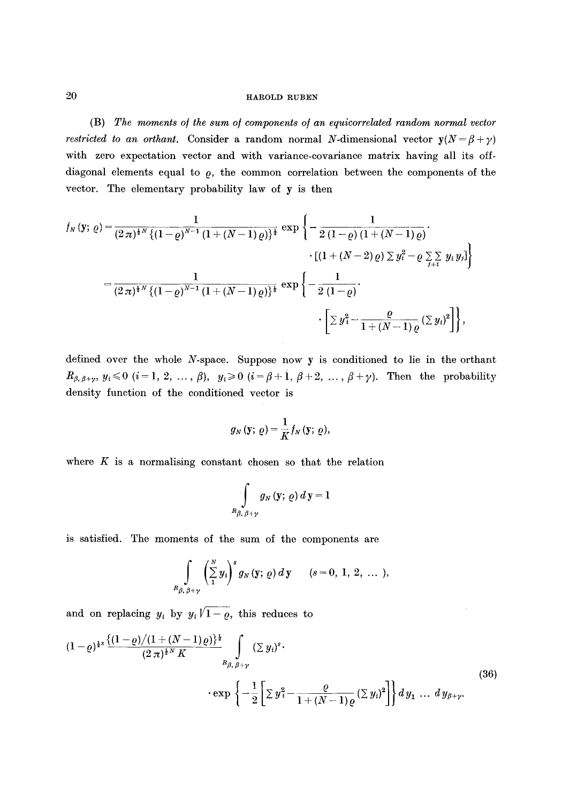(B) *The moments o/the sum o/components o/an equicorrelated random normal vector restricted to an orthant.* Consider a random normal N-dimensional vector  $y(N = \beta + \gamma)$ with zero expectation vector and with variance-covariance matrix having all its offdiagonal elements equal to  $\rho$ , the common correlation between the components of the vector. The elementary probability law of y is then

$$
f_N(y; \varrho) = \frac{1}{(2\pi)^{\frac{1}{2}N} \{(1-\varrho)^{N-1} (1+(N-1)\varrho)\}^{\frac{1}{2}}} \exp \left\{ -\frac{1}{2(1-\varrho) (1+(N-1)\varrho)} \cdot \frac{\left[ (1+(N-2)\varrho) \sum y_i^2 - \varrho \sum_{j=1}^N y_j y_j \right]}{\left[ (1+(N-2)\varrho) \sum y_i^2 - \varrho \sum_{j=1}^N y_j y_j \right]} \right\}
$$

$$
= \frac{1}{(2\pi)^{\frac{1}{2}N} \{(1-\varrho)^{N-1} (1+(N-1)\varrho)\}^{\frac{1}{2}}} \exp \left\{ -\frac{1}{2(1-\varrho)} \cdot \frac{\left[ \sum y_i^2 - \frac{\varrho}{1+(N-1)\varrho} (\sum y_i)^2 \right]} \right\},
$$

defined over the whole N-space. Suppose now y is conditioned to lie in the orthant  $R_{\beta,\beta+\gamma}, y_i \leq 0$   $(i=1, 2, ..., \beta), y_i \geq 0$   $(i=\beta+1, \beta+2, ..., \beta+\gamma)$ . Then the probability density function of the conditioned vector is

$$
g_N(\mathbf{y};\,\varrho)=\frac{1}{K}f_N(\mathbf{y};\,\varrho),
$$

where  $K$  is a normalising constant chosen so that the relation

$$
\int\limits_{R_{\beta ,\ \beta +\gamma }}g_{N}\left( \mathbf{y};\,\varrho \right) d\,\mathbf{y} =1
$$

is satisfied. The moments of the sum of the components are

$$
\int\limits_{R_{\beta,\beta+\gamma}}\left(\sum\limits_{1}^{N}y_{i}\right)^{s}g_{N}\left(\mathbf{y};\,\varrho\right)d\,\mathbf{y} \qquad (s=0,\,1,\,2,\,\ldots\,),
$$

and on replacing  $y_i$  by  $y_i\sqrt{1-\varrho}$ , this reduces to

$$
(1-\varrho)^{\frac{1}{2}s} \frac{\{(1-\varrho)/(1+(N-1)\varrho)\}^{\frac{1}{4}}}{(2\pi)^{\frac{1}{2}N} K} \int_{R_{\beta,\beta+\gamma}} (\Sigma y_i)^s \cdot \exp\left\{-\frac{1}{2}\left[\Sigma y_i^2 - \frac{\varrho}{1+(N-1)\varrho}(\Sigma y_i)^2\right]\right\} dy_1 \dots dy_{\beta+\gamma}.
$$
\n(36)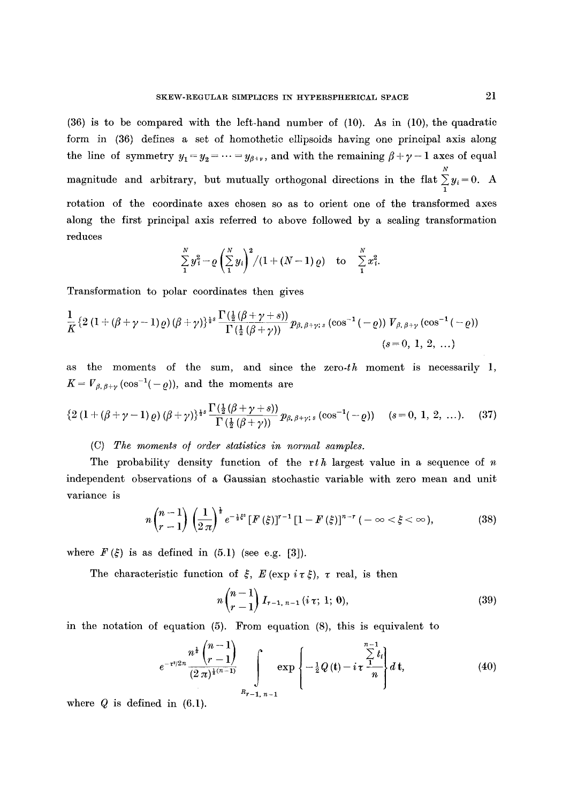(36) is to be compared with the left-hand number of (10). As in (10), the quadratic form in (36) defines a set of homothetic ellipsoids having one principal axis along the line of symmetry  $y_1 = y_2 = \cdots = y_{\beta+\nu}$ , and with the remaining  $\beta+\gamma-1$  axes of equal N magnitude and arbitrary, but mutually orthogonal directions in the flat  $\sum_{i} y_i = 0$ . A rotation of the coordinate axes chosen so as to orient one of the transformed axes along the first principal axis referred to above followed by a scaling transformation reduces

$$
\sum_{1}^{N} y_i^2 - \varrho \left( \sum_{1}^{N} y_i \right)^2 / (1 + (N-1) \varrho) \quad \text{to} \quad \sum_{1}^{N} x_i^2.
$$

Transformation to polar coordinates then gives

$$
\frac{1}{K}\left\{2\left(1+\left(\beta+\gamma-1\right)\varrho\right)\left(\beta+\gamma\right)\right\}^{s}\frac{\Gamma\left(\frac{1}{2}\left(\beta+\gamma+s\right)\right)}{\Gamma\left(\frac{1}{2}\left(\beta+\gamma\right)\right)}\,p_{\beta,\,\beta+\gamma;\,s}\left(\cos^{-1}\left(-\varrho\right)\right)\,V_{\beta,\,\beta+\gamma}\left(\cos^{-1}\left(-\varrho\right)\right)}{\left(s=0,\;1,\;2,\;\ldots\right)}
$$

as the moments of the sum, and since the zero- $th$  moment is necessarily 1,  $K = V_{\beta, \beta+\gamma}(\cos^{-1}(-\varrho))$ , and the moments are

$$
\left\{2\left(1+(\beta+\gamma-1)\,\varrho\right)(\beta+\gamma)\right\}^{1\!\!-\!\!\!s}\frac{\Gamma(\frac{1}{2}(\beta+\gamma+s))}{\Gamma(\frac{1}{2}(\beta+\gamma))}p_{\beta,\,\beta+\gamma;\,s}\left(\cos^{-1}(-\varrho)\right)\quad(s=0,\,1,\,2,\,\ldots). \tag{37}
$$

# (C) *The moments of order statistics in normal samples.*

The probability density function of the rth largest value in a sequence of  $n$ independent observations of a Gaussian stochastic variable with zero mean and unit variance is

$$
n\binom{n-1}{r-1}\left(\frac{1}{2\,\pi}\right)^{\frac{1}{2}}e^{-\frac{1}{2}\xi^*}\left[F\left(\xi\right)\right]^{r-1}\left[1-F\left(\xi\right)\right]^{n-r}\left(-\infty<\xi<\infty\right),\tag{38}
$$

where  $F(\xi)$  is as defined in (5.1) (see e.g. [3]).

The characteristic function of  $\xi$ ,  $E$  (exp  $i\tau \xi$ ),  $\tau$  real, is then

$$
n\binom{n-1}{r-1}I_{r-1, n-1} (i\,\tau; 1; 0),\tag{39}
$$

in the notation of equation (5). From equation (8), this is equivalent to

$$
e^{-\tau^{2}/2n} \frac{n^{\frac{1}{2}}\binom{n-1}{r-1}}{(2\pi)^{\frac{1}{2}(n-1)}} \int_{R_{r-1, n-1}} \exp\left\{-\frac{1}{2}Q\left(\mathbf{t}\right)-i\tau \frac{\sum\limits_{i=1}^{n-1}t_i}{n}\right\} d\mathbf{t},\tag{40}
$$

where  $Q$  is defined in  $(6.1)$ .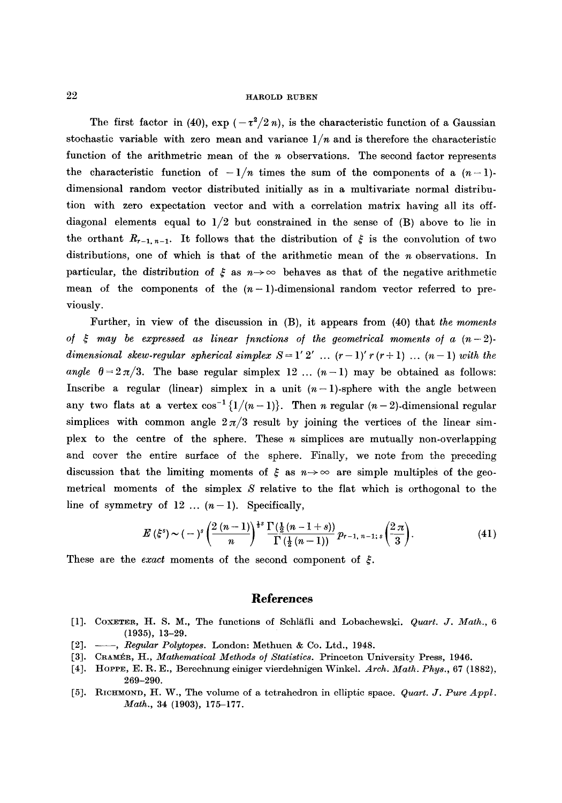The first factor in (40),  $\exp(-\tau^2/2 n)$ , is the characteristic function of a Gaussian stochastic variable with zero mean and variance  $1/n$  and is therefore the characteristic function of the arithmetric mean of the n observations. The second factor represents the characteristic function of  $-1/n$  times the sum of the components of a  $(n-1)$ dimensional random vector distributed initially as in a multivariate normal distribution with zero expectation vector and with a correlation matrix having all its offdiagonal elements equal to  $1/2$  but constrained in the sense of  $(B)$  above to lie in the orthant  $R_{r-1,n-1}$ . It follows that the distribution of  $\xi$  is the convolution of two distributions, one of which is that of the arithmetic mean of the n observations. In particular, the distribution of  $\xi$  as  $n \to \infty$  behaves as that of the negative arithmetic mean of the components of the  $(n-1)$ -dimensional random vector referred to previously.

Further, in view of the discussion in (B), it appears from (40) that *the moments of*  $\xi$  may be expressed as linear functions of the geometrical moments of a  $(n-2)$ *dimensional skew-regular spherical simplex S = 1' 2' ...*  $(r-1)'$   $r(r+1)$  ...  $(n-1)$  *with the* angle  $\theta = 2\pi/3$ . The base regular simplex 12 ...  $(n-1)$  may be obtained as follows: Inscribe a regular (linear) simplex in a unit  $(n-1)$ -sphere with the angle between any two flats at a vertex  $\cos^{-1}\left\{1/(n-1)\right\}$ . Then *n* regular  $(n-2)$ -dimensional regular simplices with common angle  $2\pi/3$  result by joining the vertices of the linear simplex to the centre of the sphere. These  $n$  simplices are mutually non-overlapping and cover the entire surface of the sphere. Finally, we note from the preceding discussion that the limiting moments of  $\xi$  as  $n \to \infty$  are simple multiples of the geometrical moments of the simplex  $S$  relative to the flat which is orthogonal to the line of symmetry of  $12 \ldots (n-1)$ . Specifically,

$$
E(\xi^s) \sim (-)^s \left(\frac{2(n-1)}{n}\right)^{\frac{1}{2}s} \frac{\Gamma(\frac{1}{2}(n-1+s))}{\Gamma(\frac{1}{2}(n-1))} p_{r-1, n-1; s}\left(\frac{2\pi}{3}\right).
$$
 (41)

These are the *exact* moments of the second component of  $\xi$ .

## **References**

- [1]. COXETER, H. S. M., The functions of Schl~fli and Lobachewski. *Quart. J. Math., 6*  (1935), 13-29.
- [2]. --, *Regular Polytopes.* London: Methuen & Co. Ltd., 1948.
- [3]. CRAMÉR, H., *Mathematical Methods of Statistics*. Princeton University Press, 1946.
- [4]. HOPPE, E. R. E., Berechnung einiger vierdehnigen Winkel. *Arch. Math. Phys.,* 67 (1882), 269-290.
- [5]. RICHMOND, H. W., The volume of a tetrahedron in elliptic space. *Quart. J. Pure Appl. Math.,* 34 (1903), 175-177.